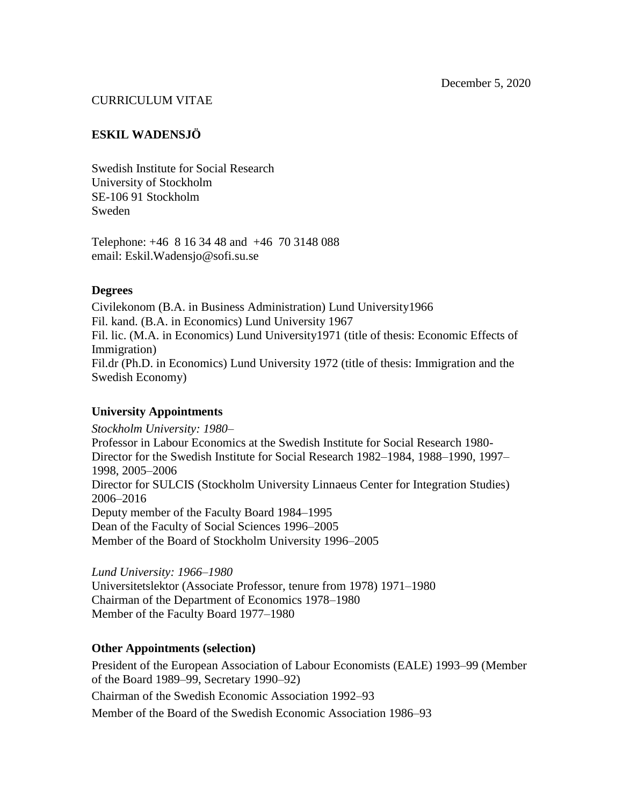# CURRICULUM VITAE

# **ESKIL WADENSJÖ**

Swedish Institute for Social Research University of Stockholm SE-106 91 Stockholm Sweden

Telephone: +46 8 16 34 48 and +46 70 3148 088 email: Eskil.Wadensjo@sofi.su.se

# **Degrees**

Civilekonom (B.A. in Business Administration) Lund University1966 Fil. kand. (B.A. in Economics) Lund University 1967 Fil. lic. (M.A. in Economics) Lund University1971 (title of thesis: Economic Effects of Immigration) Fil.dr (Ph.D. in Economics) Lund University 1972 (title of thesis: Immigration and the Swedish Economy)

# **University Appointments**

*Stockholm University: 1980–* Professor in Labour Economics at the Swedish Institute for Social Research 1980- Director for the Swedish Institute for Social Research 1982–1984, 1988–1990, 1997– 1998, 2005–2006 Director for SULCIS (Stockholm University Linnaeus Center for Integration Studies) 2006–2016 Deputy member of the Faculty Board 1984–1995 Dean of the Faculty of Social Sciences 1996–2005 Member of the Board of Stockholm University 1996–2005

*Lund University: 1966–1980*  Universitetslektor (Associate Professor, tenure from 1978) 1971–1980 Chairman of the Department of Economics 1978–1980 Member of the Faculty Board 1977–1980

# **Other Appointments (selection)**

President of the European Association of Labour Economists (EALE) 1993–99 (Member of the Board 1989–99, Secretary 1990–92)

Chairman of the Swedish Economic Association 1992–93

Member of the Board of the Swedish Economic Association 1986–93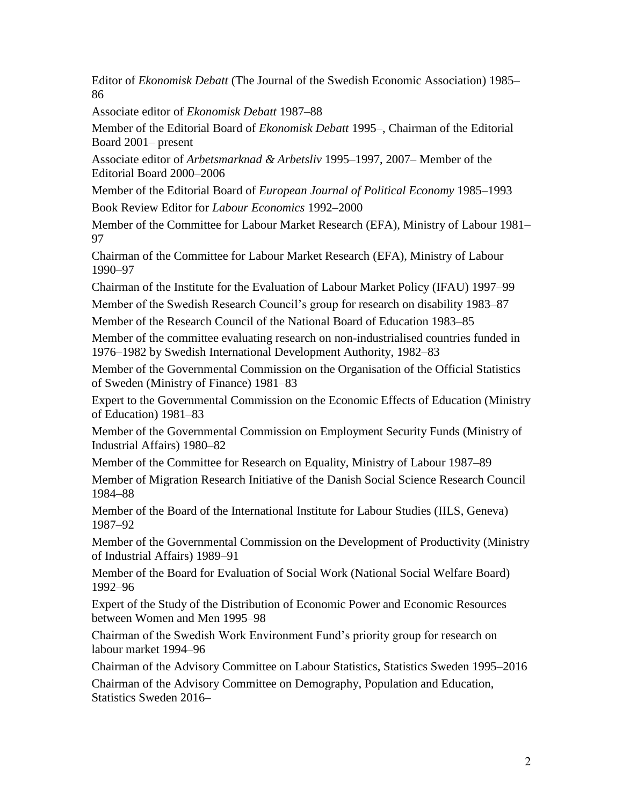Editor of *Ekonomisk Debatt* (The Journal of the Swedish Economic Association) 1985– 86

Associate editor of *Ekonomisk Debatt* 1987–88

Member of the Editorial Board of *Ekonomisk Debatt* 1995–, Chairman of the Editorial Board 2001– present

Associate editor of *Arbetsmarknad & Arbetsliv* 1995–1997, 2007– Member of the Editorial Board 2000–2006

Member of the Editorial Board of *European Journal of Political Economy* 1985–1993 Book Review Editor for *Labour Economics* 1992–2000

Member of the Committee for Labour Market Research (EFA), Ministry of Labour 1981– 97

Chairman of the Committee for Labour Market Research (EFA), Ministry of Labour 1990–97

Chairman of the Institute for the Evaluation of Labour Market Policy (IFAU) 1997–99

Member of the Swedish Research Council's group for research on disability 1983–87

Member of the Research Council of the National Board of Education 1983–85

Member of the committee evaluating research on non-industrialised countries funded in 1976–1982 by Swedish International Development Authority, 1982–83

Member of the Governmental Commission on the Organisation of the Official Statistics of Sweden (Ministry of Finance) 1981–83

Expert to the Governmental Commission on the Economic Effects of Education (Ministry of Education) 1981–83

Member of the Governmental Commission on Employment Security Funds (Ministry of Industrial Affairs) 1980–82

Member of the Committee for Research on Equality, Ministry of Labour 1987–89

Member of Migration Research Initiative of the Danish Social Science Research Council 1984–88

Member of the Board of the International Institute for Labour Studies (IILS, Geneva) 1987–92

Member of the Governmental Commission on the Development of Productivity (Ministry of Industrial Affairs) 1989–91

Member of the Board for Evaluation of Social Work (National Social Welfare Board) 1992–96

Expert of the Study of the Distribution of Economic Power and Economic Resources between Women and Men 1995–98

Chairman of the Swedish Work Environment Fund's priority group for research on labour market 1994–96

Chairman of the Advisory Committee on Labour Statistics, Statistics Sweden 1995–2016

Chairman of the Advisory Committee on Demography, Population and Education, Statistics Sweden 2016–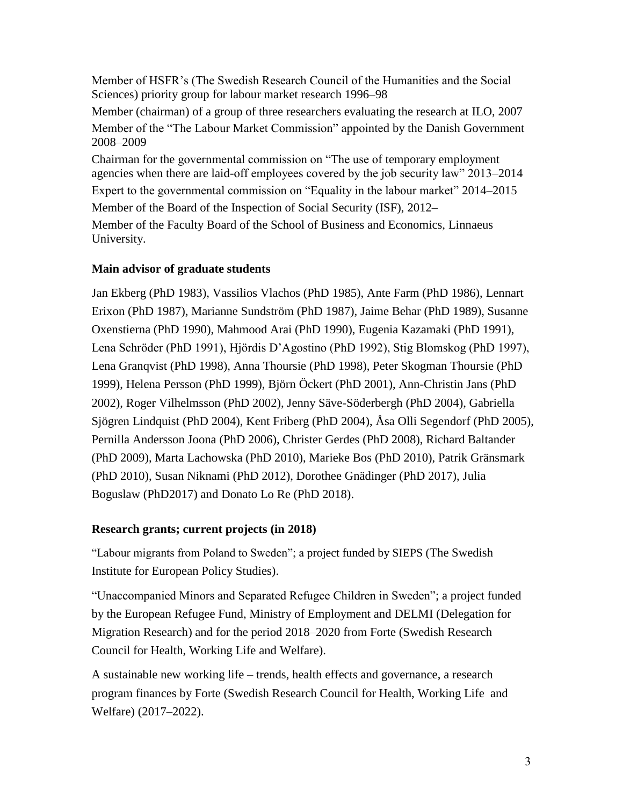Member of HSFR's (The Swedish Research Council of the Humanities and the Social Sciences) priority group for labour market research 1996–98 Member (chairman) of a group of three researchers evaluating the research at ILO, 2007 Member of the "The Labour Market Commission" appointed by the Danish Government 2008–2009 Chairman for the governmental commission on "The use of temporary employment

agencies when there are laid-off employees covered by the job security law" 2013–2014 Expert to the governmental commission on "Equality in the labour market" 2014–2015 Member of the Board of the Inspection of Social Security (ISF), 2012– Member of the Faculty Board of the School of Business and Economics, Linnaeus University.

# **Main advisor of graduate students**

Jan Ekberg (PhD 1983), Vassilios Vlachos (PhD 1985), Ante Farm (PhD 1986), Lennart Erixon (PhD 1987), Marianne Sundström (PhD 1987), Jaime Behar (PhD 1989), Susanne Oxenstierna (PhD 1990), Mahmood Arai (PhD 1990), Eugenia Kazamaki (PhD 1991), Lena Schröder (PhD 1991), Hjördis D'Agostino (PhD 1992), Stig Blomskog (PhD 1997), Lena Granqvist (PhD 1998), Anna Thoursie (PhD 1998), Peter Skogman Thoursie (PhD 1999), Helena Persson (PhD 1999), Björn Öckert (PhD 2001), Ann-Christin Jans (PhD 2002), Roger Vilhelmsson (PhD 2002), Jenny Säve-Söderbergh (PhD 2004), Gabriella Sjögren Lindquist (PhD 2004), Kent Friberg (PhD 2004), Åsa Olli Segendorf (PhD 2005), Pernilla Andersson Joona (PhD 2006), Christer Gerdes (PhD 2008), Richard Baltander (PhD 2009), Marta Lachowska (PhD 2010), Marieke Bos (PhD 2010), Patrik Gränsmark (PhD 2010), Susan Niknami (PhD 2012), Dorothee Gnädinger (PhD 2017), Julia Boguslaw (PhD2017) and Donato Lo Re (PhD 2018).

# **Research grants; current projects (in 2018)**

"Labour migrants from Poland to Sweden"; a project funded by SIEPS (The Swedish Institute for European Policy Studies).

"Unaccompanied Minors and Separated Refugee Children in Sweden"; a project funded by the European Refugee Fund, Ministry of Employment and DELMI (Delegation for Migration Research) and for the period 2018–2020 from Forte (Swedish Research Council for Health, Working Life and Welfare).

A sustainable new working life – trends, health effects and governance, a research program finances by Forte (Swedish Research Council for Health, Working Life and Welfare) (2017–2022).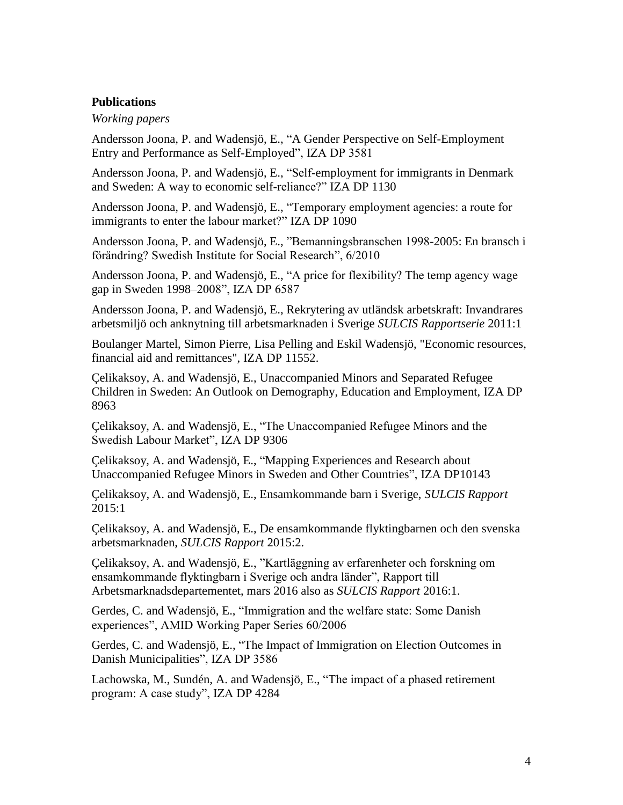# **Publications**

#### *Working papers*

Andersson Joona, P. and Wadensjö, E., ["A Gender Perspective on Self-Employment](http://www.iza.org/en/webcontent/publications/papers/viewAbstract?dp_id=3581)  [Entry and Performance as Self-Employed"](http://www.iza.org/en/webcontent/publications/papers/viewAbstract?dp_id=3581), IZA DP 3581

Andersson Joona, P. and Wadensjö, E., "Self-employment for immigrants in Denmark and Sweden: A way to economic self-reliance?" IZA DP 1130

Andersson Joona, P. and Wadensjö, E., "Temporary employment agencies: a route for immigrants to enter the labour market?" IZA DP 1090

Andersson Joona, P. and Wadensjö, E., "Bemanningsbranschen 1998-2005: En bransch i förändring? Swedish Institute for Social Research", 6/2010

Andersson Joona, P. and Wadensjö, E., "A price for flexibility? The temp agency wage gap in Sweden 1998–2008", IZA DP 6587

Andersson Joona, P. and Wadensjö, E., Rekrytering av utländsk arbetskraft: Invandrares arbetsmiljö och anknytning till arbetsmarknaden i Sverige *SULCIS Rapportserie* 2011:1

Boulanger Martel, Simon Pierre, Lisa Pelling and Eskil Wadensjö, "Economic resources, financial aid and remittances", IZA DP 11552.

Çelikaksoy, A. and Wadensjö, E., Unaccompanied Minors and Separated Refugee Children in Sweden: An Outlook on Demography, Education and Employment, IZA DP 8963

Çelikaksoy, A. and Wadensjö, E., "The Unaccompanied Refugee Minors and the Swedish Labour Market", IZA DP 9306

Çelikaksoy, A. and Wadensjö, E., "Mapping Experiences and Research about Unaccompanied Refugee Minors in Sweden and Other Countries", IZA DP10143

Çelikaksoy, A. and Wadensjö, E., Ensamkommande barn i Sverige, *SULCIS Rapport* 2015:1

Çelikaksoy, A. and Wadensjö, E., De ensamkommande flyktingbarnen och den svenska arbetsmarknaden, *SULCIS Rapport* 2015:2.

Çelikaksoy, A. and Wadensjö, E., "Kartläggning av erfarenheter och forskning om ensamkommande flyktingbarn i Sverige och andra länder", Rapport till Arbetsmarknadsdepartementet, mars 2016 also as *SULCIS Rapport* 2016:1.

Gerdes, C. and Wadensjö, E., "Immigration and the welfare state: Some Danish experiences", AMID Working Paper Series 60/2006

Gerdes, C. and Wadensjö, E., ["The Impact of Immigration on Election Outcomes in](http://www.iza.org/en/webcontent/publications/papers/viewAbstract?dp_id=3586)  [Danish Municipalities"](http://www.iza.org/en/webcontent/publications/papers/viewAbstract?dp_id=3586), IZA DP 3586

Lachowska, M., Sundén, A. and Wadensjö, E., "The impact of a phased retirement program: A case study", IZA DP 4284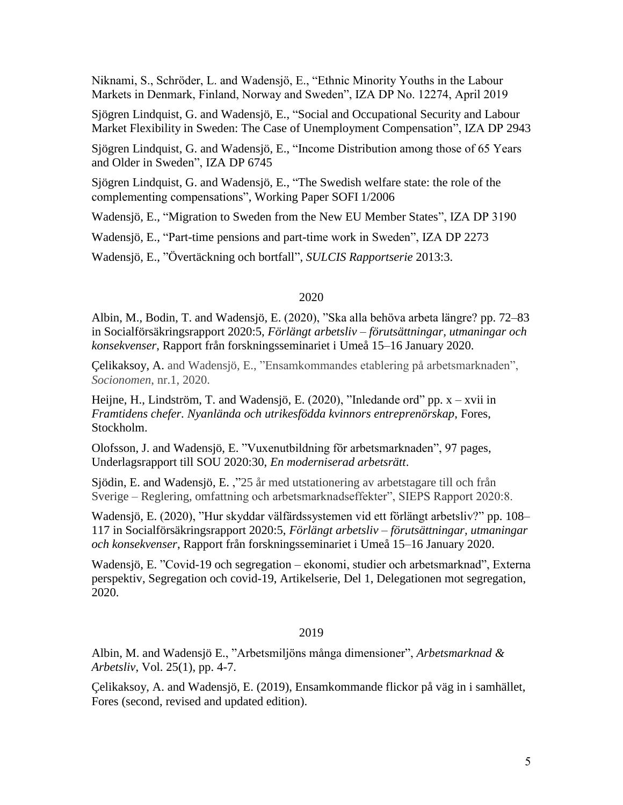Niknami, S., Schröder, L. and Wadensjö, E., "Ethnic Minority Youths in the Labour Markets in Denmark, Finland, Norway and Sweden", IZA DP No. 12274, April 2019

Sjögren Lindquist, G. and Wadensjö, E., ["Social and Occupational Security and Labour](http://www.iza.org/en/webcontent/publications/papers/viewAbstract?dp_id=2943)  [Market Flexibility in Sweden: The Case of Unemployment Compensation"](http://www.iza.org/en/webcontent/publications/papers/viewAbstract?dp_id=2943), IZA DP 2943

Sjögren Lindquist, G. and Wadensjö, E., "Income Distribution among those of 65 Years and Older in Sweden", IZA DP 6745

Sjögren Lindquist, G. and Wadensjö, E., "The Swedish welfare state: the role of the complementing compensations", Working Paper SOFI 1/2006

Wadensjö, E., ["Migration to Sweden from the New EU Member States"](http://www.iza.org/en/webcontent/publications/papers/viewAbstract?dp_id=3190), IZA DP 3190

Wadensjö, E., "Part-time pensions and part-time work in Sweden", IZA DP 2273

Wadensjö, E., "Övertäckning och bortfall", *SULCIS Rapportserie* 2013:3.

# 2020

Albin, M., Bodin, T. and Wadensjö, E. (2020), "Ska alla behöva arbeta längre? pp. 72–83 in Socialförsäkringsrapport 2020:5, *Förlängt arbetsliv – förutsättningar, utmaningar och konsekvenser*, Rapport från forskningsseminariet i Umeå 15–16 January 2020.

Çelikaksoy, A. and Wadensjö, E., "Ensamkommandes etablering på arbetsmarknaden", *Socionomen*, nr.1, 2020.

Heijne, H., Lindström, T. and Wadensjö, E. (2020), "Inledande ord" pp. x – xvii in *Framtidens chefer. Nyanlända och utrikesfödda kvinnors entreprenörskap*, Fores, Stockholm.

Olofsson, J. and Wadensjö, E. "Vuxenutbildning för arbetsmarknaden", 97 pages, Underlagsrapport till SOU 2020:30, *En moderniserad arbetsrätt*.

Sjödin, E. and Wadensjö, E. ,"25 år med utstationering av arbetstagare till och från Sverige – Reglering, omfattning och arbetsmarknadseffekter", SIEPS Rapport 2020:8.

Wadensjö, E. (2020), "Hur skyddar välfärdssystemen vid ett förlängt arbetsliv?" pp. 108– 117 in Socialförsäkringsrapport 2020:5, *Förlängt arbetsliv – förutsättningar, utmaningar och konsekvenser*, Rapport från forskningsseminariet i Umeå 15–16 January 2020.

Wadensjö, E. "Covid-19 och segregation – ekonomi, studier och arbetsmarknad", Externa perspektiv, Segregation och covid-19, Artikelserie, Del 1, Delegationen mot segregation, 2020.

## 2019

Albin, M. and Wadensjö E., "Arbetsmiljöns många dimensioner", *Arbetsmarknad & Arbetsliv*, Vol. 25(1), pp. 4-7.

Çelikaksoy, A. and Wadensjö, E. (2019), Ensamkommande flickor på väg in i samhället, Fores (second, revised and updated edition).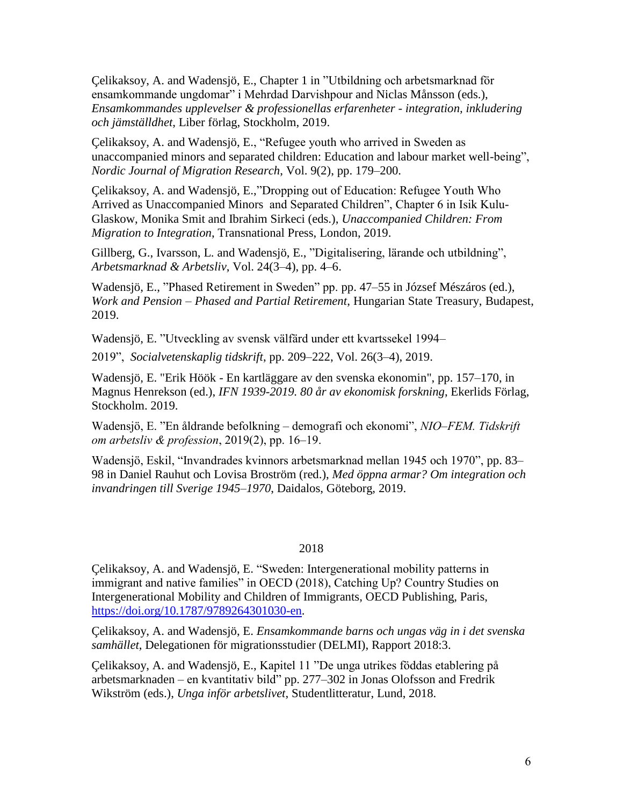Çelikaksoy, A. and Wadensjö, E., Chapter 1 in "Utbildning och arbetsmarknad för ensamkommande ungdomar" i Mehrdad Darvishpour and Niclas Månsson (eds.), *Ensamkommandes upplevelser & professionellas erfarenheter - integration, inkludering och jämställdhet*, Liber förlag, Stockholm, 2019.

Çelikaksoy, A. and Wadensjö, E., "Refugee youth who arrived in Sweden as unaccompanied minors and separated children: Education and labour market well-being", *Nordic Journal of Migration Research*, Vol. 9(2), pp. 179–200.

Çelikaksoy, A. and Wadensjö, E.,"Dropping out of Education: Refugee Youth Who Arrived as Unaccompanied Minors and Separated Children", Chapter 6 in Isik Kulu-Glaskow, Monika Smit and Ibrahim Sirkeci (eds.), *Unaccompanied Children: From Migration to Integration*, Transnational Press, London, 2019.

Gillberg, G., Ivarsson, L. and Wadensjö, E., "Digitalisering, lärande och utbildning", *Arbetsmarknad & Arbetsliv*, Vol. 24(3–4), pp. 4–6.

Wadensjö, E., "Phased Retirement in Sweden" pp. pp. 47–55 in József Mészáros (ed.), *Work and Pension – Phased and Partial Retirement*, Hungarian State Treasury, Budapest, 2019.

Wadensjö, E. "Utveckling av svensk välfärd under ett kvartssekel 1994–

2019", *Socialvetenskaplig tidskrift*, pp. 209–222, Vol. 26(3–4), 2019.

Wadensjö, E. "Erik Höök - En kartläggare av den svenska ekonomin", pp. 157–170, in Magnus Henrekson (ed.), *IFN 1939-2019. 80 år av ekonomisk forskning*, Ekerlids Förlag, Stockholm. 2019.

Wadensjö, E. "En åldrande befolkning – demografi och ekonomi", *NIO–FEM. Tidskrift om arbetsliv & profession*, 2019(2), pp. 16–19.

Wadensjö, Eskil, "Invandrades kvinnors arbetsmarknad mellan 1945 och 1970", pp. 83– 98 in Daniel Rauhut och Lovisa Broström (red.), *Med öppna armar? Om integration och invandringen till Sverige 1945–1970*, Daidalos, Göteborg, 2019.

# 2018

Çelikaksoy, A. and Wadensjö, E. "Sweden: Intergenerational mobility patterns in immigrant and native families" in OECD (2018), Catching Up? Country Studies on Intergenerational Mobility and Children of Immigrants, OECD Publishing, Paris, [https://doi.org/10.1787/9789264301030-en.](https://doi.org/10.1787/9789264301030-en)

Çelikaksoy, A. and Wadensjö, E. *Ensamkommande barns och ungas väg in i det svenska samhället*, Delegationen för migrationsstudier (DELMI), Rapport 2018:3.

Çelikaksoy, A. and Wadensjö, E., Kapitel 11 "De unga utrikes föddas etablering på arbetsmarknaden – en kvantitativ bild" pp. 277–302 in Jonas Olofsson and Fredrik Wikström (eds.), *Unga inför arbetslivet*, Studentlitteratur, Lund, 2018.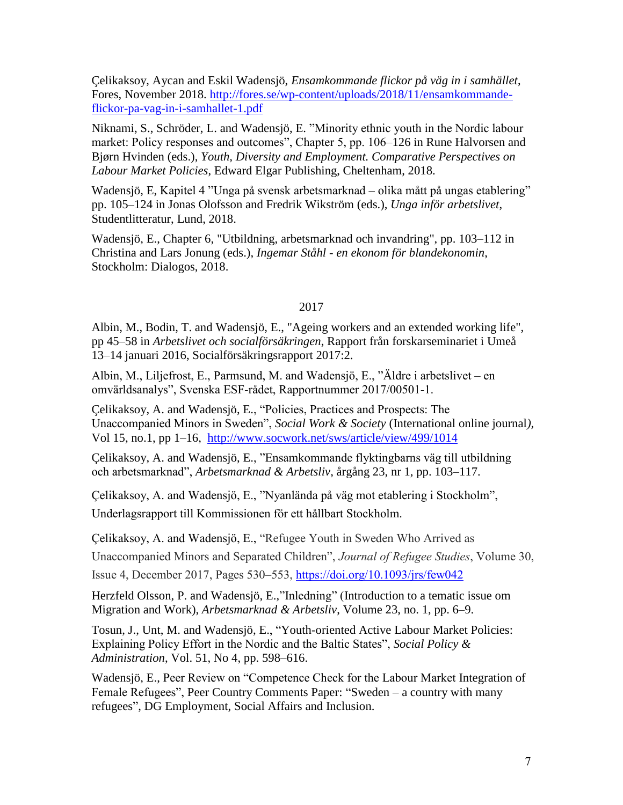Çelikaksoy, Aycan and Eskil Wadensjö, *Ensamkommande flickor på väg in i samhället*, Fores, November 2018. [http://fores.se/wp-content/uploads/2018/11/ensamkommande](http://fores.se/wp-content/uploads/2018/11/ensamkommande-flickor-pa-vag-in-i-samhallet-1.pdf)[flickor-pa-vag-in-i-samhallet-1.pdf](http://fores.se/wp-content/uploads/2018/11/ensamkommande-flickor-pa-vag-in-i-samhallet-1.pdf)

Niknami, S., Schröder, L. and Wadensjö, E. "Minority ethnic youth in the Nordic labour market: Policy responses and outcomes", Chapter 5, pp. 106–126 in Rune Halvorsen and Bjørn Hvinden (eds.), *Youth, Diversity and Employment. Comparative Perspectives on Labour Market Policies*, Edward Elgar Publishing, Cheltenham, 2018.

Wadensjö, E, Kapitel 4 "Unga på svensk arbetsmarknad – olika mått på ungas etablering" pp. 105–124 in Jonas Olofsson and Fredrik Wikström (eds.), *Unga inför arbetslivet*, Studentlitteratur, Lund, 2018.

Wadensjö, E., Chapter 6, "Utbildning, arbetsmarknad och invandring", pp. 103–112 in Christina and Lars Jonung (eds.), *Ingemar Ståhl - en ekonom för blandekonomin*, Stockholm: Dialogos, 2018.

# 2017

Albin, M., Bodin, T. and Wadensjö, E., "Ageing workers and an extended working life", pp 45–58 in *Arbetslivet och socialförsäkringen*, Rapport från forskarseminariet i Umeå 13–14 januari 2016, Socialförsäkringsrapport 2017:2.

Albin, M., Liljefrost, E., Parmsund, M. and Wadensjö, E., "Äldre i arbetslivet – en omvärldsanalys", Svenska ESF-rådet, Rapportnummer 2017/00501-1.

Çelikaksoy, A. and Wadensjö, E., "Policies, Practices and Prospects: The Unaccompanied Minors in Sweden", *Social Work & Society* (International online journal*),*  Vol 15, no.1, pp 1–16, <http://www.socwork.net/sws/article/view/499/1014>

Çelikaksoy, A. and Wadensjö, E., "Ensamkommande flyktingbarns väg till utbildning och arbetsmarknad", *Arbetsmarknad & Arbetsliv*, årgång 23, nr 1, pp. 103–117.

Çelikaksoy, A. and Wadensjö, E., "Nyanlända på väg mot etablering i Stockholm", Underlagsrapport till Kommissionen för ett hållbart Stockholm.

Çelikaksoy, A. and Wadensjö, E., "Refugee Youth in Sweden Who Arrived as

Unaccompanied Minors and Separated Children", *Journal of Refugee Studies*, Volume 30,

Issue 4, December 2017, Pages 530–553, <https://doi.org/10.1093/jrs/few042>

Herzfeld Olsson, P. and Wadensjö, E.,"Inledning" (Introduction to a tematic issue om Migration and Work), *Arbetsmarknad & Arbetsliv*, Volume 23, no. 1, pp. 6–9.

Tosun, J., Unt, M. and Wadensjö, E., "Youth-oriented Active Labour Market Policies: Explaining Policy Effort in the Nordic and the Baltic States", *Social Policy & Administration*, Vol. 51, No 4, pp. 598–616.

Wadensjö, E., Peer Review on "Competence Check for the Labour Market Integration of Female Refugees", Peer Country Comments Paper: "Sweden – a country with many refugees", DG Employment, Social Affairs and Inclusion.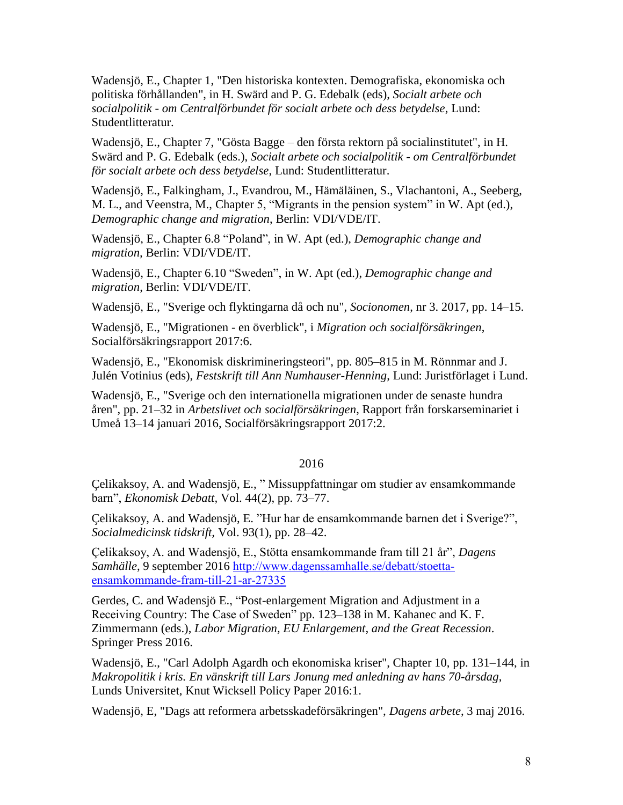Wadensjö, E., Chapter 1, "Den historiska kontexten. Demografiska, ekonomiska och politiska förhållanden", in H. Swärd and P. G. Edebalk (eds), *Socialt arbete och socialpolitik - om Centralförbundet för socialt arbete och dess betydelse*, Lund: Studentlitteratur.

Wadensjö, E., Chapter 7, "Gösta Bagge – den första rektorn på socialinstitutet", in H. Swärd and P. G. Edebalk (eds.), *Socialt arbete och socialpolitik - om Centralförbundet för socialt arbete och dess betydelse*, Lund: Studentlitteratur.

Wadensjö, E., Falkingham, J., Evandrou, M., Hämäläinen, S., Vlachantoni, A., Seeberg, M. L., and Veenstra, M., Chapter 5, "Migrants in the pension system" in W. Apt (ed.), *Demographic change and migration*, Berlin: VDI/VDE/IT.

Wadensjö, E., Chapter 6.8 "Poland", in W. Apt (ed.), *Demographic change and migration,* Berlin: VDI/VDE/IT.

Wadensjö, E., Chapter 6.10 "Sweden", in W. Apt (ed.), *Demographic change and migration*, Berlin: VDI/VDE/IT.

Wadensjö, E., "Sverige och flyktingarna då och nu", *Socionomen*, nr 3. 2017, pp. 14–15.

Wadensjö, E., "Migrationen - en överblick", i *Migration och socialförsäkringen*, Socialförsäkringsrapport 2017:6.

Wadensjö, E., "Ekonomisk diskrimineringsteori", pp. 805–815 in M. Rönnmar and J. Julén Votinius (eds), *Festskrift till Ann Numhauser-Henning*, Lund: Juristförlaget i Lund.

Wadensjö, E., "Sverige och den internationella migrationen under de senaste hundra åren", pp. 21–32 in *Arbetslivet och socialförsäkringen*, Rapport från forskarseminariet i Umeå 13–14 januari 2016, Socialförsäkringsrapport 2017:2.

# 2016

Çelikaksoy, A. and Wadensjö, E., " Missuppfattningar om studier av ensamkommande barn", *Ekonomisk Debatt,* Vol. 44(2), pp. 73–77.

Çelikaksoy, A. and Wadensjö, E. "Hur har de ensamkommande barnen det i Sverige?", *Socialmedicinsk tidskrift,* Vol. 93(1), pp. 28–42.

Çelikaksoy, A. and Wadensjö, E., Stötta ensamkommande fram till 21 år", *Dagens*  Samhälle, 9 september 2016 [http://www.dagenssamhalle.se/debatt/stoetta](http://www.dagenssamhalle.se/debatt/stoetta-ensamkommande-fram-till-21-ar-27335)[ensamkommande-fram-till-21-ar-27335](http://www.dagenssamhalle.se/debatt/stoetta-ensamkommande-fram-till-21-ar-27335)

Gerdes, C. and Wadensjö E., "Post-enlargement Migration and Adjustment in a Receiving Country: The Case of Sweden" pp. 123–138 in M. Kahanec and K. F. Zimmermann (eds.), *Labor Migration, EU Enlargement, and the Great Recession*. Springer Press 2016.

Wadensjö, E., "Carl Adolph Agardh och ekonomiska kriser", Chapter 10, pp. 131–144, in *Makropolitik i kris. En vänskrift till Lars Jonung med anledning av hans 70-årsdag*, Lunds Universitet, Knut Wicksell Policy Paper 2016:1.

Wadensjö, E, "Dags att reformera arbetsskadeförsäkringen", *Dagens arbete*, 3 maj 2016.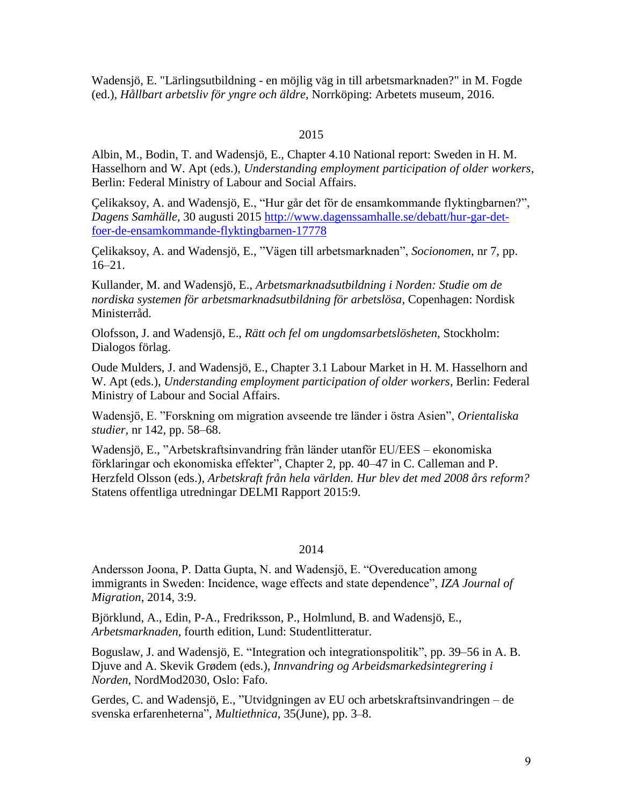Wadensjö, E. "Lärlingsutbildning - en möjlig väg in till arbetsmarknaden?" in M. Fogde (ed.), *Hållbart arbetsliv för yngre och äldre*, Norrköping: Arbetets museum, 2016.

### 2015

Albin, M., Bodin, T. and Wadensjö, E., Chapter 4.10 National report: Sweden in H. M. Hasselhorn and W. Apt (eds.), *Understanding employment participation of older workers*, Berlin: Federal Ministry of Labour and Social Affairs.

Çelikaksoy, A. and Wadensjö, E., "Hur går det för de ensamkommande flyktingbarnen?", *Dagens Samhälle*, 30 augusti 2015 [http://www.dagenssamhalle.se/debatt/hur-gar-det](http://www.dagenssamhalle.se/debatt/hur-gar-det-foer-de-ensamkommande-flyktingbarnen-17778)[foer-de-ensamkommande-flyktingbarnen-17778](http://www.dagenssamhalle.se/debatt/hur-gar-det-foer-de-ensamkommande-flyktingbarnen-17778)

Çelikaksoy, A. and Wadensjö, E., "Vägen till arbetsmarknaden", *Socionomen*, nr 7, pp. 16–21.

Kullander, M. and Wadensjö, E., *Arbetsmarknadsutbildning i Norden: Studie om de nordiska systemen för arbetsmarknadsutbildning för arbetslösa*, Copenhagen: Nordisk Ministerråd.

Olofsson, J. and Wadensjö, E., *Rätt och fel om ungdomsarbetslösheten*, Stockholm: Dialogos förlag.

Oude Mulders, J. and Wadensjö, E., Chapter 3.1 Labour Market in H. M. Hasselhorn and W. Apt (eds.), *Understanding employment participation of older workers*, Berlin: Federal Ministry of Labour and Social Affairs.

Wadensjö, E. "Forskning om migration avseende tre länder i östra Asien", *Orientaliska studier,* nr 142, pp. 58–68.

Wadensjö, E., "Arbetskraftsinvandring från länder utanför EU/EES – ekonomiska förklaringar och ekonomiska effekter", Chapter 2, pp. 40–47 in C. Calleman and P. Herzfeld Olsson (eds.), *Arbetskraft från hela världen. Hur blev det med 2008 års reform?* Statens offentliga utredningar DELMI Rapport 2015:9.

### 2014

Andersson Joona, P. Datta Gupta, N. and Wadensjö, E. "Overeducation among immigrants in Sweden: Incidence, wage effects and state dependence", *IZA Journal of Migration*, 2014, 3:9.

Björklund, A., Edin, P-A., Fredriksson, P., Holmlund, B. and Wadensjö, E., *Arbetsmarknaden,* fourth edition, Lund: Studentlitteratur.

Boguslaw, J. and Wadensjö, E. "Integration och integrationspolitik", pp. 39–56 in A. B. Djuve and A. Skevik Grødem (eds.), *Innvandring og Arbeidsmarkedsintegrering i Norden*, NordMod2030, Oslo: Fafo.

Gerdes, C. and Wadensjö, E., "Utvidgningen av EU och arbetskraftsinvandringen – de svenska erfarenheterna", *Multiethnica,* 35(June), pp. 3–8.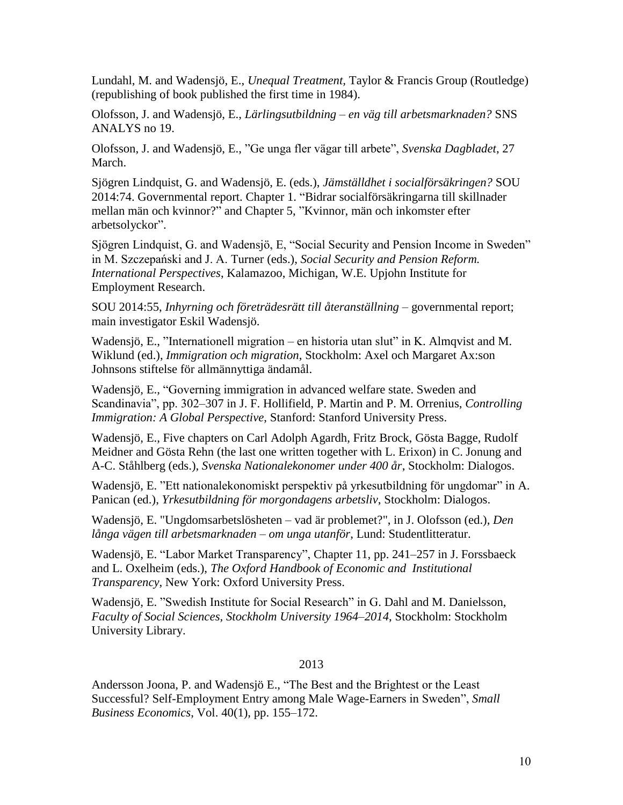Lundahl, M. and Wadensjö, E., *Unequal Treatment,* Taylor & Francis Group (Routledge) (republishing of book published the first time in 1984).

Olofsson, J. and Wadensjö, E., *Lärlingsutbildning – en väg till arbetsmarknaden?* SNS ANALYS no 19.

Olofsson, J. and Wadensjö, E., "Ge unga fler vägar till arbete", *Svenska Dagbladet*, 27 March.

Sjögren Lindquist, G. and Wadensjö, E. (eds.), *Jämställdhet i socialförsäkringen?* SOU 2014:74. Governmental report. Chapter 1. "Bidrar socialförsäkringarna till skillnader mellan män och kvinnor?" and Chapter 5, "Kvinnor, män och inkomster efter arbetsolyckor".

Sjögren Lindquist, G. and Wadensjö, E, "Social Security and Pension Income in Sweden" in M. Szczepański and J. A. Turner (eds.), *Social Security and Pension Reform. International Perspectives*, Kalamazoo, Michigan, W.E. Upjohn Institute for Employment Research.

SOU 2014:55, *Inhyrning och företrädesrätt till återanställning* – governmental report; main investigator Eskil Wadensjö.

Wadensjö, E., "Internationell migration – en historia utan slut" in K. Almqvist and M. Wiklund (ed.), *Immigration och migration*, Stockholm: Axel och Margaret Ax:son Johnsons stiftelse för allmännyttiga ändamål.

Wadensjö, E., "Governing immigration in advanced welfare state. Sweden and Scandinavia", pp. 302–307 in J. F. Hollifield, P. Martin and P. M. Orrenius, *Controlling Immigration: A Global Perspective*, Stanford: Stanford University Press.

Wadensjö, E., Five chapters on Carl Adolph Agardh, Fritz Brock, Gösta Bagge, Rudolf Meidner and Gösta Rehn (the last one written together with L. Erixon) in C. Jonung and A-C. Ståhlberg (eds.), *Svenska Nationalekonomer under 400 år*, Stockholm: Dialogos.

Wadensjö, E. "Ett nationalekonomiskt perspektiv på yrkesutbildning för ungdomar" in A. Panican (ed.), *Yrkesutbildning för morgondagens arbetsliv*, Stockholm: Dialogos.

Wadensjö, E. "Ungdomsarbetslösheten – vad är problemet?", in J. Olofsson (ed.), *Den långa vägen till arbetsmarknaden – om unga utanför*, Lund: Studentlitteratur.

Wadensjö, E. "Labor Market Transparency", Chapter 11, pp. 241–257 in J. Forssbaeck and L. Oxelheim (eds.), *The Oxford Handbook of Economic and Institutional Transparency*, New York: Oxford University Press.

Wadensjö, E. "Swedish Institute for Social Research" in G. Dahl and M. Danielsson, *Faculty of Social Sciences, Stockholm University 1964–2014*, Stockholm: Stockholm University Library.

# 2013

Andersson Joona, P. and Wadensjö E., "The Best and the Brightest or the Least Successful? Self-Employment Entry among Male Wage-Earners in Sweden", *Small Business Economics*, Vol. 40(1), pp. 155–172.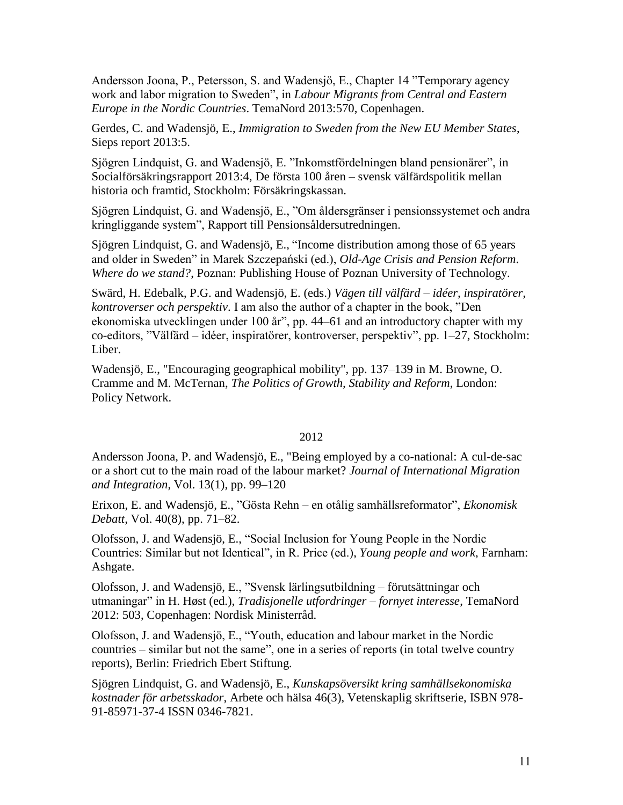Andersson Joona, P., Petersson, S. and Wadensjö, E., Chapter 14 "Temporary agency work and labor migration to Sweden", in *Labour Migrants from Central and Eastern Europe in the Nordic Countries*. TemaNord 2013:570, Copenhagen.

Gerdes, C. and Wadensjö, E., *Immigration to Sweden from the New EU Member States*, Sieps report 2013:5.

Sjögren Lindquist, G. and Wadensjö, E. "Inkomstfördelningen bland pensionärer", in Socialförsäkringsrapport 2013:4, De första 100 åren – svensk välfärdspolitik mellan historia och framtid, Stockholm: Försäkringskassan.

Sjögren Lindquist, G. and Wadensjö, E., "Om åldersgränser i pensionssystemet och andra kringliggande system", Rapport till Pensionsåldersutredningen.

Sjögren Lindquist, G. and Wadensjö, E., "Income distribution among those of 65 years and older in Sweden" in Marek Szczepański (ed.), *Old-Age Crisis and Pension Reform*. *Where do we stand?*, Poznan: Publishing House of Poznan University of Technology.

Swärd, H. Edebalk, P.G. and Wadensjö, E. (eds.) *Vägen till välfärd – idéer, inspiratörer, kontroverser och perspektiv*. I am also the author of a chapter in the book, "Den ekonomiska utvecklingen under 100 år", pp. 44–61 and an introductory chapter with my co-editors, "Välfärd – idéer, inspiratörer, kontroverser, perspektiv", pp. 1–27, Stockholm: Liber.

Wadensjö, E., "Encouraging geographical mobility", pp. 137–139 in M. Browne, O. Cramme and M. McTernan, *The Politics of Growth, Stability and Reform*, London: Policy Network.

# 2012

Andersson Joona, P. and Wadensjö, E., "Being employed by a co-national: A cul-de-sac or a short cut to the main road of the labour market? *Journal of International Migration and Integration*, Vol. 13(1), pp. 99–120

Erixon, E. and Wadensjö, E., "Gösta Rehn – en otålig samhällsreformator", *Ekonomisk Debatt,* Vol. 40(8), pp. 71–82.

Olofsson, J. and Wadensjö, E., "Social Inclusion for Young People in the Nordic Countries: Similar but not Identical", in R. Price (ed.), *Young people and work*, Farnham: Ashgate.

Olofsson, J. and Wadensjö, E., "Svensk lärlingsutbildning – förutsättningar och utmaningar" in H. Høst (ed.), *Tradisjonelle utfordringer – fornyet interesse*, TemaNord 2012: 503, Copenhagen: Nordisk Ministerråd.

Olofsson, J. and Wadensjö, E., "Youth, education and labour market in the Nordic countries – similar but not the same", one in a series of reports (in total twelve country reports), Berlin: Friedrich Ebert Stiftung.

Sjögren Lindquist, G. and Wadensjö, E., *Kunskapsöversikt kring samhällsekonomiska kostnader för arbetsskador*, Arbete och hälsa 46(3), Vetenskaplig skriftserie, ISBN 978- 91-85971-37-4 ISSN 0346-7821.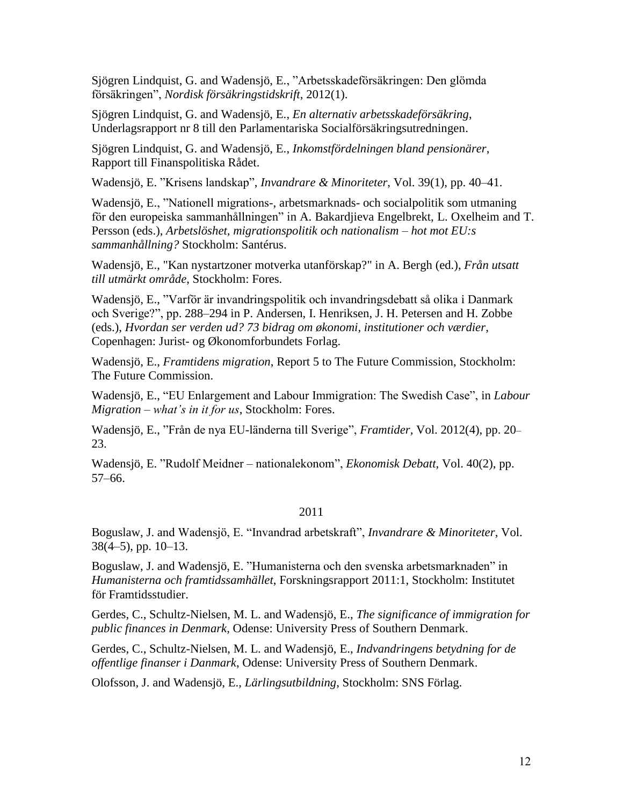Sjögren Lindquist, G. and Wadensjö, E., "Arbetsskadeförsäkringen: Den glömda försäkringen", *Nordisk försäkringstidskrift*, 2012(1).

Sjögren Lindquist, G. and Wadensjö, E., *En alternativ arbetsskadeförsäkring*, Underlagsrapport nr 8 till den Parlamentariska Socialförsäkringsutredningen.

Sjögren Lindquist, G. and Wadensjö, E., *Inkomstfördelningen bland pensionärer*, Rapport till Finanspolitiska Rådet.

Wadensjö, E. "Krisens landskap", *Invandrare & Minoriteter*, Vol. 39(1), pp. 40–41.

Wadensjö, E., "Nationell migrations-, arbetsmarknads- och socialpolitik som utmaning för den europeiska sammanhållningen" in A. Bakardjieva Engelbrekt, L. Oxelheim and T. Persson (eds.), *Arbetslöshet, migrationspolitik och nationalism – hot mot EU:s sammanhållning?* Stockholm: Santérus.

Wadensjö, E., "Kan nystartzoner motverka utanförskap?" in A. Bergh (ed.), *Från utsatt till utmärkt område*, Stockholm: Fores.

Wadensjö, E., "Varför är invandringspolitik och invandringsdebatt så olika i Danmark och Sverige?", pp. 288–294 in P. Andersen, I. Henriksen, J. H. Petersen and H. Zobbe (eds.), *Hvordan ser verden ud? 73 bidrag om økonomi, institutioner och værdier*, Copenhagen: Jurist- og Økonomforbundets Forlag.

Wadensjö, E., *Framtidens migration*, Report 5 to The Future Commission, Stockholm: The Future Commission.

Wadensjö, E., "EU Enlargement and Labour Immigration: The Swedish Case", in *Labour Migration – what's in it for us*, Stockholm: Fores.

Wadensjö, E., "Från de nya EU-länderna till Sverige", *Framtider,* Vol. 2012(4), pp. 20– 23.

Wadensjö, E. "Rudolf Meidner – nationalekonom", *Ekonomisk Debatt*, Vol. 40(2), pp. 57–66.

# 2011

Boguslaw, J. and Wadensjö, E. "Invandrad arbetskraft", *Invandrare & Minoriteter*, Vol.  $38(4-5)$ , pp.  $10-13$ .

Boguslaw, J. and Wadensjö, E. "Humanisterna och den svenska arbetsmarknaden" in *Humanisterna och framtidssamhället*, Forskningsrapport 2011:1, Stockholm: Institutet för Framtidsstudier.

Gerdes, C., Schultz-Nielsen, M. L. and Wadensjö, E., *The significance of immigration for public finances in Denmark*, Odense: University Press of Southern Denmark.

Gerdes, C., Schultz-Nielsen, M. L. and Wadensjö, E., *Indvandringens betydning for de offentlige finanser i Danmark*, Odense: University Press of Southern Denmark.

Olofsson, J. and Wadensjö, E., *Lärlingsutbildning*, Stockholm: SNS Förlag.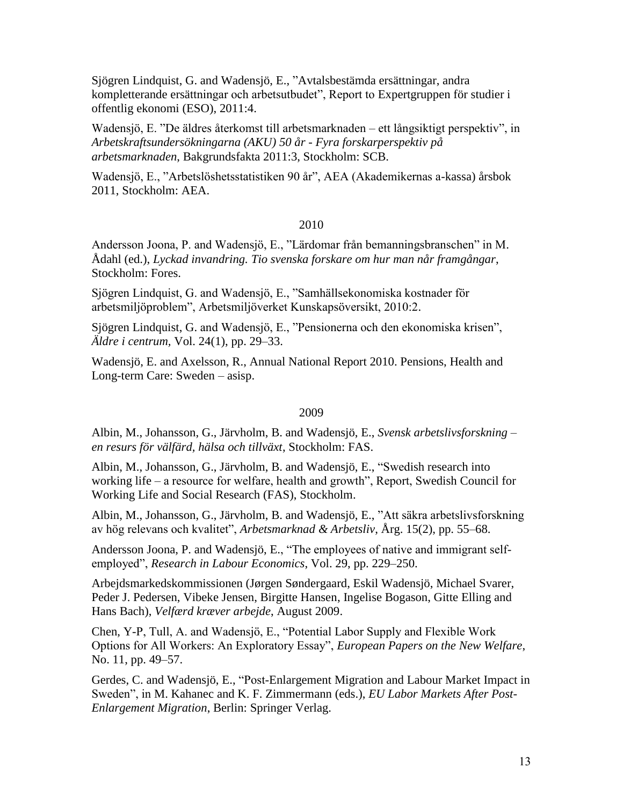Sjögren Lindquist, G. and Wadensjö, E., "Avtalsbestämda ersättningar, andra kompletterande ersättningar och arbetsutbudet", Report to Expertgruppen för studier i offentlig ekonomi (ESO), 2011:4.

Wadensjö, E. "De äldres återkomst till arbetsmarknaden – ett långsiktigt perspektiv", in *Arbetskraftsundersökningarna (AKU) 50 år - Fyra forskarperspektiv på arbetsmarknaden*, Bakgrundsfakta 2011:3, Stockholm: SCB.

Wadensjö, E., "Arbetslöshetsstatistiken 90 år", AEA (Akademikernas a-kassa) årsbok 2011, Stockholm: AEA.

# 2010

Andersson Joona, P. and Wadensjö, E., "Lärdomar från bemanningsbranschen" in M. Ådahl (ed.), *Lyckad invandring. Tio svenska forskare om hur man når framgångar*, Stockholm: Fores.

Sjögren Lindquist, G. and Wadensjö, E., "Samhällsekonomiska kostnader för arbetsmiljöproblem", Arbetsmiljöverket Kunskapsöversikt, 2010:2.

Sjögren Lindquist, G. and Wadensjö, E., "Pensionerna och den ekonomiska krisen", *Äldre i centrum,* Vol. 24(1), pp. 29–33.

Wadensjö, E. and Axelsson, R., Annual National Report 2010. Pensions, Health and Long-term Care: Sweden – asisp.

### 2009

Albin, M., Johansson, G., Järvholm, B. and Wadensjö, E., *Svensk arbetslivsforskning – en resurs för välfärd, hälsa och tillväxt*, Stockholm: FAS.

Albin, M., Johansson, G., Järvholm, B. and Wadensjö, E., "Swedish research into working life – a resource for welfare, health and growth", Report, Swedish Council for Working Life and Social Research (FAS), Stockholm.

Albin, M., Johansson, G., Järvholm, B. and Wadensjö, E., "Att säkra arbetslivsforskning av hög relevans och kvalitet", *Arbetsmarknad & Arbetsliv*, Årg. 15(2), pp. 55–68.

Andersson Joona, P. and Wadensjö, E., "The employees of native and immigrant selfemployed", *Research in Labour Economics*, Vol. 29, pp. 229–250.

Arbejdsmarkedskommissionen (Jørgen Søndergaard, Eskil Wadensjö, Michael Svarer, Peder J. Pedersen, Vibeke Jensen, Birgitte Hansen, Ingelise Bogason, Gitte Elling and Hans Bach), *Velfærd kræver arbejde*, August 2009.

Chen, Y-P, Tull, A. and Wadensjö, E., "Potential Labor Supply and Flexible Work Options for All Workers: An Exploratory Essay", *European Papers on the New Welfare*, No. 11, pp. 49–57.

Gerdes, C. and Wadensjö, E., ["Post-Enlargement Migration and Labour Market Impact in](http://www.iza.org/en/webcontent/publications/papers/viewAbstract?dp_id=3586)  Sweden", in M. Kahanec and K. F. Zimmermann (eds.), *[EU Labor Markets After Post-](http://www.iza.org/en/webcontent/publications/papers/viewAbstract?dp_id=3586)Enlargement Migration*[, Berlin: Springer Verlag.](http://www.iza.org/en/webcontent/publications/papers/viewAbstract?dp_id=3586)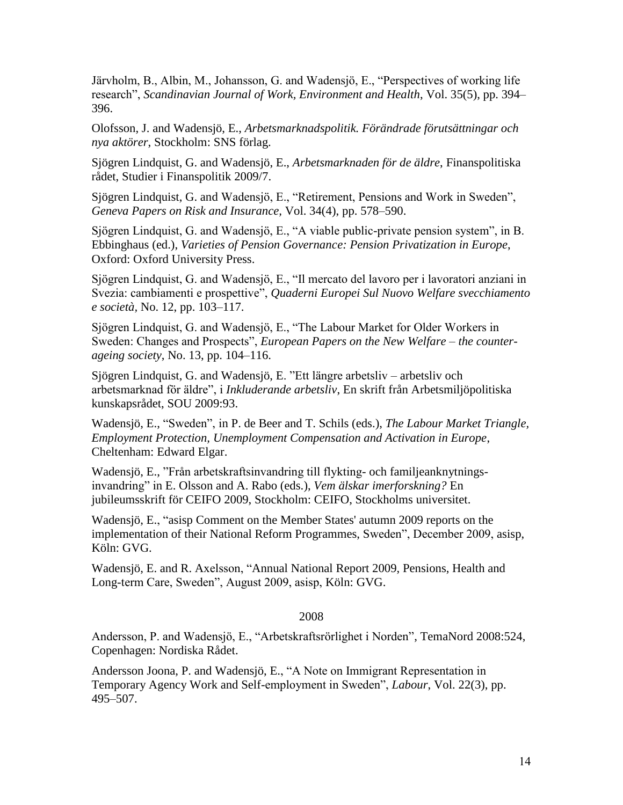[Järvholm, B., Albin, M., Johansson, G. and Wadensjö, E., "Perspectives of working life](http://www.iza.org/en/webcontent/publications/papers/viewAbstract?dp_id=3586)  research", *[Scandinavian Journal of Work, Environment and Health](http://www.iza.org/en/webcontent/publications/papers/viewAbstract?dp_id=3586)*, Vol. 35(5), pp. 394– [396.](http://www.iza.org/en/webcontent/publications/papers/viewAbstract?dp_id=3586)

Olofsson, J. and Wadensjö, E., *Arbetsmarknadspolitik. Förändrade förutsättningar och nya aktörer*, Stockholm: SNS förlag.

Sjögren Lindquist, G. and Wadensjö, E., *Arbetsmarknaden för de äldre*, Finanspolitiska rådet, Studier i Finanspolitik 2009/7.

Sjögren Lindquist, G. and Wadensjö, E., "Retirement, Pensions and Work in Sweden", *Geneva Papers on Risk and Insurance,* Vol. 34(4), pp. 578–590.

Sjögren Lindquist, G. and Wadensjö, E., "A viable public-private pension system", in B. Ebbinghaus (ed.), *Varieties of Pension Governance: Pension Privatization in Europe*, Oxford: Oxford University Press.

Sjögren Lindquist, G. and Wadensjö, E., "Il mercato del lavoro per i lavoratori anziani in Svezia: cambiamenti e prospettive", *Quaderni Europei Sul Nuovo Welfare svecchiamento e società,* No. 12, pp. 103–117.

Sjögren Lindquist, G. and Wadensjö, E., "The Labour Market for Older Workers in Sweden: Changes and Prospects", *European Papers on the New Welfare – the counterageing society*, No. 13, pp. 104–116.

Sjögren Lindquist, G. and Wadensjö, E. "Ett längre arbetsliv – arbetsliv och arbetsmarknad för äldre", i *Inkluderande arbetsliv*, En skrift från Arbetsmiljöpolitiska kunskapsrådet, SOU 2009:93.

Wadensjö, E., "Sweden", in P. de Beer and T. Schils (eds.), *The Labour Market Triangle, Employment Protection, Unemployment Compensation and Activation in Europe*, Cheltenham: Edward Elgar.

Wadensjö, E., "Från arbetskraftsinvandring till flykting- och familjeanknytningsinvandring" in E. Olsson and A. Rabo (eds.), *Vem älskar imerforskning?* En jubileumsskrift för CEIFO 2009, Stockholm: CEIFO, Stockholms universitet.

Wadensjö, E., "asisp Comment on the Member States' autumn 2009 reports on the implementation of their National Reform Programmes, Sweden", December 2009, asisp, Köln: GVG.

Wadensjö, E. and R. Axelsson, "Annual National Report 2009, Pensions, Health and Long-term Care, Sweden", August 2009, asisp, Köln: GVG.

#### 2008

Andersson, P. and Wadensjö, E., "Arbetskraftsrörlighet i Norden", TemaNord 2008:524, Copenhagen: Nordiska Rådet.

Andersson Joona, P. and Wadensjö, E., "A Note on Immigrant Representation in Temporary Agency Work and Self-employment in Sweden", *Labour*, Vol. 22(3), pp. 495–507.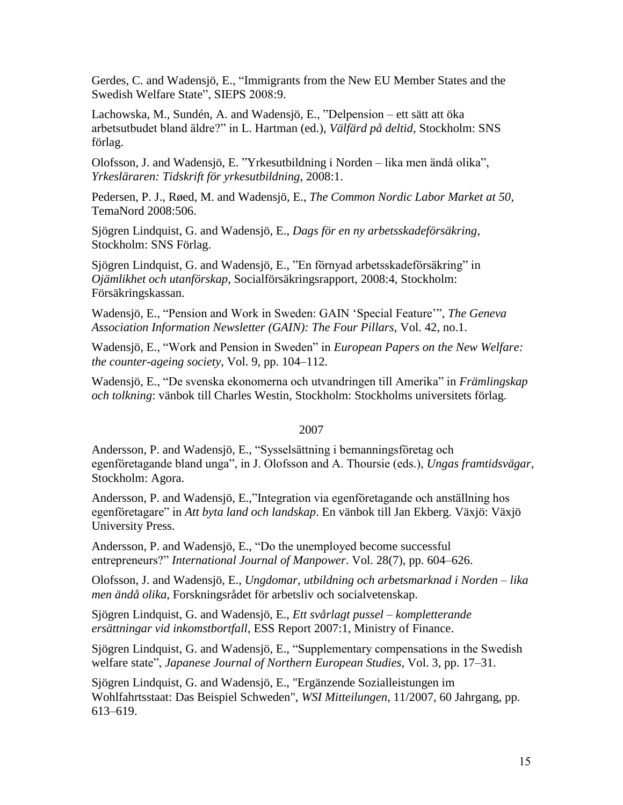Gerdes, C. and Wadensjö, E., "Immigrants from the New EU Member States and the Swedish Welfare State", SIEPS 2008:9.

Lachowska, M., Sundén, A. and Wadensjö, E., "Delpension – ett sätt att öka arbetsutbudet bland äldre?" in L. Hartman (ed.), *Välfärd på deltid*, Stockholm: SNS förlag.

Olofsson, J. and Wadensjö, E. "Yrkesutbildning i Norden – lika men ändå olika", *Yrkesläraren: Tidskrift för yrkesutbildning*, 2008:1.

Pedersen, P. J., Røed, M. and Wadensjö, E., *The Common Nordic Labor Market at 50*, TemaNord 2008:506.

Sjögren Lindquist, G. and Wadensjö, E., *Dags för en ny arbetsskadeförsäkring*, Stockholm: SNS Förlag.

Sjögren Lindquist, G. and Wadensjö, E., "En förnyad arbetsskadeförsäkring" in *Ojämlikhet och utanförskap*, Socialförsäkringsrapport, 2008:4, Stockholm: Försäkringskassan.

Wadensjö, E., "Pension and Work in Sweden: GAIN 'Special Feature'", *The Geneva Association Information Newsletter (GAIN): The Four Pillars,* Vol. 42, no.1.

Wadensjö, E., "Work and Pension in Sweden" in *European Papers on the New Welfare: the counter-ageing society*, Vol. 9, pp. 104–112.

Wadensjö, E., "De svenska ekonomerna och utvandringen till Amerika" in *Främlingskap och tolkning*: vänbok till Charles Westin, Stockholm: Stockholms universitets förlag.

### 2007

Andersson, P. and Wadensjö, E., "Sysselsättning i bemanningsföretag och egenföretagande bland unga", in J. Olofsson and A. Thoursie (eds.), *Ungas framtidsvägar*, Stockholm: Agora.

Andersson, P. and Wadensjö, E.,"Integration via egenföretagande och anställning hos egenföretagare" in *Att byta land och landskap*. En vänbok till Jan Ekberg. Växjö: Växjö University Press.

Andersson, P. and Wadensjö, E., "Do the unemployed become successful entrepreneurs?" *International Journal of Manpower*. Vol. 28(7), pp. 604–626.

Olofsson, J. and Wadensjö, E., *Ungdomar, utbildning och arbetsmarknad i Norden – lika men ändå olika*, Forskningsrådet för arbetsliv och socialvetenskap.

Sjögren Lindquist, G. and Wadensjö, E., *Ett svårlagt pussel – kompletterande ersättningar vid inkomstbortfall*, ESS Report 2007:1, Ministry of Finance.

Sjögren Lindquist, G. and Wadensjö, E., "Supplementary compensations in the Swedish welfare state", *Japanese Journal of Northern European Studies*, Vol. 3, pp. 17–31.

Sjögren Lindquist, G. and Wadensjö, E., "Ergänzende Sozialleistungen im Wohlfahrtsstaat: Das Beispiel Schweden", *WSI Mitteilungen*, 11/2007, 60 Jahrgang, pp. 613–619.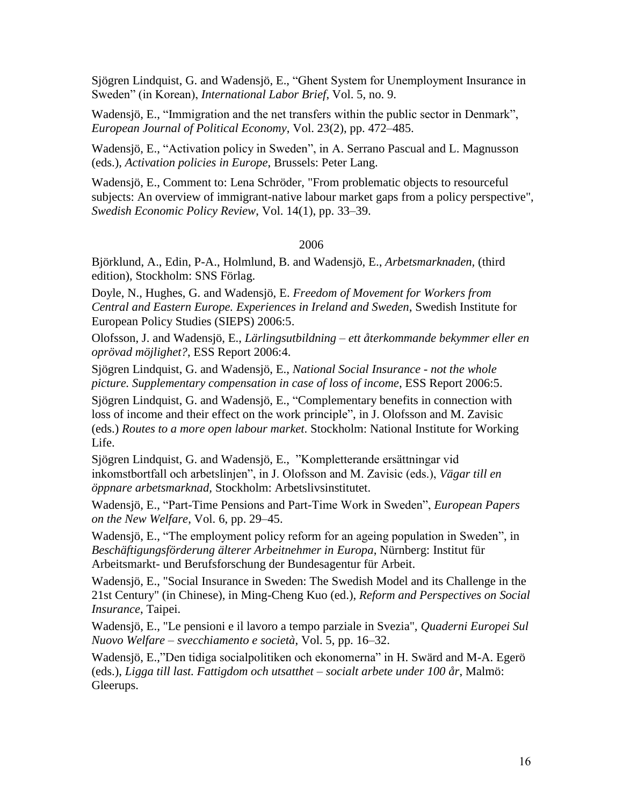Sjögren Lindquist, G. and Wadensjö, E., "Ghent System for Unemployment Insurance in Sweden" (in Korean), *International Labor Brief*, Vol. 5, no. 9.

Wadensjö, E., "Immigration and the net transfers within the public sector in Denmark", *European Journal of Political Economy*, Vol. 23(2), pp. 472–485.

Wadensjö, E., "Activation policy in Sweden", in A. Serrano Pascual and L. Magnusson (eds.), *Activation policies in Europe*, Brussels: Peter Lang.

Wadensjö, E., Comment to: Lena Schröder, "From problematic objects to resourceful subjects: An overview of immigrant-native labour market gaps from a policy perspective", *Swedish Economic Policy Review*, Vol. 14(1), pp. 33–39.

# 2006

Björklund, A., Edin, P-A., Holmlund, B. and Wadensjö, E., *Arbetsmarknaden,* (third edition), Stockholm: SNS Förlag.

Doyle, N., Hughes, G. and Wadensjö, E. *Freedom of Movement for Workers from Central and Eastern Europe. Experiences in Ireland and Sweden*, Swedish Institute for European Policy Studies (SIEPS) 2006:5.

Olofsson, J. and Wadensjö, E., *Lärlingsutbildning – ett återkommande bekymmer eller en oprövad möjlighet?*, ESS Report 2006:4.

Sjögren Lindquist, G. and Wadensjö, E., *National Social Insurance - not the whole picture. Supplementary compensation in case of loss of income*, ESS Report 2006:5.

Sjögren Lindquist, G. and Wadensjö, E., ["Complementary benefits in connection with](http://ebib.arbetslivsinstitutet.se/isbn/2006/isbn9170457999.pdf)  [loss of income and their effect](http://ebib.arbetslivsinstitutet.se/isbn/2006/isbn9170457999.pdf) on the work principle", in J. Olofsson and M. Zavisic (eds.) *Routes to a more open labour market*. Stockholm: National Institute for Working Life.

Sjögren Lindquist, G. and Wadensjö, E., "Kompletterande ersättningar vid inkomstbortfall och arbetslinjen", in J. Olofsson and M. Zavisic (eds.), *Vägar till en öppnare arbetsmarknad,* Stockholm: Arbetslivsinstitutet.

Wadensjö, E., "Part-Time Pensions and Part-Time Work in Sweden", *European Papers on the New Welfare*, Vol. 6, pp. 29–45.

Wadensjö, E., "The employment policy reform for an ageing population in Sweden", in *Beschäftigungsförderung älterer Arbeitnehmer in Europa*, Nürnberg: Institut für Arbeitsmarkt- und Berufsforschung der Bundesagentur für Arbeit.

Wadensjö, E., "Social Insurance in Sweden: The Swedish Model and its Challenge in the 21st Century" (in Chinese), in Ming-Cheng Kuo (ed.), *Reform and Perspectives on Social Insurance*, Taipei.

Wadensjö, E., "Le pensioni e il lavoro a tempo parziale in Svezia", *Quaderni Europei Sul Nuovo Welfare – svecchiamento e società*, Vol. 5, pp. 16–32.

Wadensjö, E.,"Den tidiga socialpolitiken och ekonomerna" in H. Swärd and M-A. Egerö (eds.), *Ligga till last. Fattigdom och utsatthet – socialt arbete under 100 år*, Malmö: Gleerups.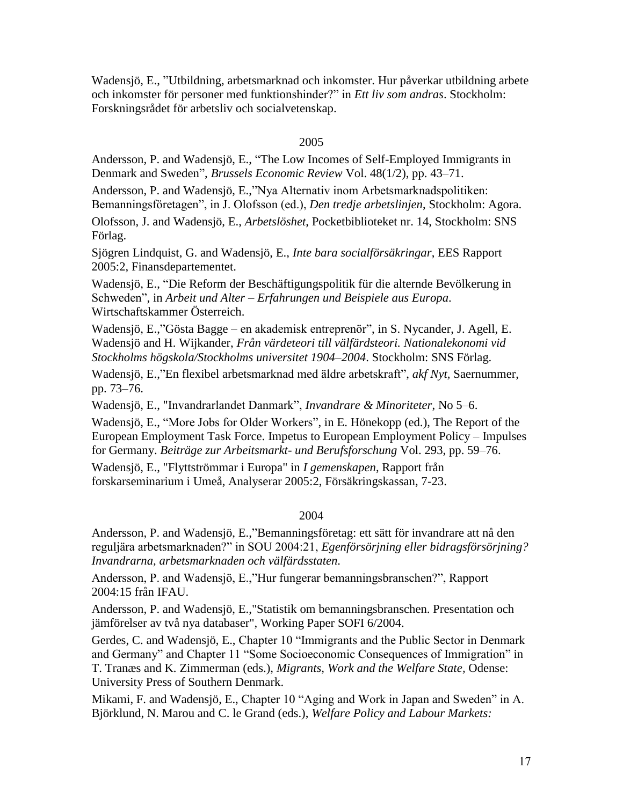Wadensjö, E., "Utbildning, arbetsmarknad och inkomster. Hur påverkar utbildning arbete och inkomster för personer med funktionshinder?" in *Ett liv som andras*. Stockholm: Forskningsrådet för arbetsliv och socialvetenskap.

# 2005

Andersson, P. and Wadensjö, E., "The Low Incomes of Self-Employed Immigrants in Denmark and Sweden", *Brussels Economic Review* Vol. 48(1/2), pp. 43–71.

Andersson, P. and Wadensjö, E.,"Nya Alternativ inom Arbetsmarknadspolitiken:

Bemanningsföretagen", in J. Olofsson (ed.), *Den tredje arbetslinjen*, Stockholm: Agora.

Olofsson, J. and Wadensjö, E., *Arbetslöshet*, Pocketbiblioteket nr. 14, Stockholm: SNS Förlag.

Sjögren Lindquist, G. and Wadensjö, E., *Inte bara socialförsäkringar*, EES Rapport 2005:2, Finansdepartementet.

Wadensjö, E., "Die Reform der Beschäftigungspolitik für die alternde Bevölkerung in Schweden", in *Arbeit und Alter – Erfahrungen und Beispiele aus Europa*. Wirtschaftskammer Österreich.

Wadensjö, E.,"Gösta Bagge – en akademisk entreprenör", in S. Nycander, J. Agell, E. Wadensjö and H. Wijkander, *Från värdeteori till välfärdsteori. Nationalekonomi vid Stockholms högskola/Stockholms universitet 1904*–*2004*. Stockholm: SNS Förlag.

Wadensjö, E.,"En flexibel arbetsmarknad med äldre arbetskraft", *akf Nyt,* Saernummer, pp. 73–76.

Wadensjö, E., "Invandrarlandet Danmark", *Invandrare & Minoriteter*, No 5–6.

Wadensjö, E., "More Jobs for Older Workers", in E. Hönekopp (ed.), The Report of the European Employment Task Force. Impetus to European Employment Policy – Impulses for Germany. *Beiträge zur Arbeitsmarkt- und Berufsforschung* Vol. 293, pp. 59–76.

Wadensjö, E., "Flyttströmmar i Europa" in *I gemenskapen*, Rapport från forskarseminarium i Umeå, Analyserar 2005:2, Försäkringskassan, 7-23.

#### 2004

Andersson, P. and Wadensjö, E.,"Bemanningsföretag: ett sätt för invandrare att nå den reguljära arbetsmarknaden?" in SOU 2004:21, *Egenförsörjning eller bidragsförsörjning? Invandrarna, arbetsmarknaden och välfärdsstaten.*

Andersson, P. and Wadensjö, E.,"Hur fungerar bemanningsbranschen?", Rapport 2004:15 från IFAU.

Andersson, P. and Wadensjö, E.,"Statistik om bemanningsbranschen. Presentation och jämförelser av två nya databaser", Working Paper SOFI 6/2004.

Gerdes, C. and Wadensjö, E., Chapter 10 "Immigrants and the Public Sector in Denmark and Germany" and Chapter 11 "Some Socioeconomic Consequences of Immigration" in T. Tranæs and K. Zimmerman (eds.), *Migrants, Work and the Welfare State,* Odense: University Press of Southern Denmark.

Mikami, F. and Wadensjö, E., Chapter 10 "Aging and Work in Japan and Sweden" in A. Björklund, N. Marou and C. le Grand (eds.), *Welfare Policy and Labour Markets:*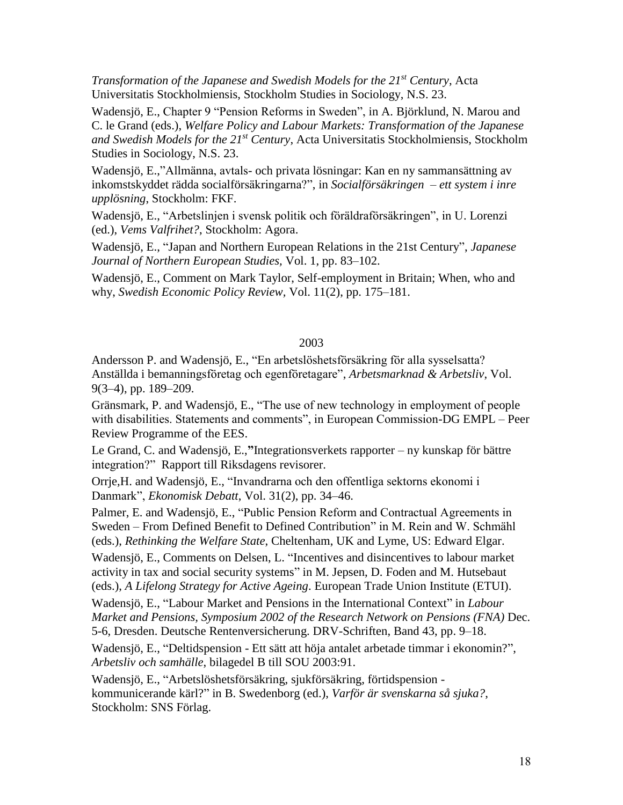*Transformation of the Japanese and Swedish Models for the 21st Century*, Acta Universitatis Stockholmiensis, Stockholm Studies in Sociology, N.S. 23.

Wadensjö, E., Chapter 9 "Pension Reforms in Sweden", in A. Björklund, N. Marou and C. le Grand (eds.), *Welfare Policy and Labour Markets: Transformation of the Japanese and Swedish Models for the 21st Century*, Acta Universitatis Stockholmiensis, Stockholm Studies in Sociology, N.S. 23.

Wadensjö, E.,"Allmänna, avtals- och privata lösningar: Kan en ny sammansättning av inkomstskyddet rädda socialförsäkringarna?", in *Socialförsäkringen – ett system i inre upplösning*, Stockholm: FKF.

Wadensjö, E., "Arbetslinjen i svensk politik och föräldraförsäkringen", in U. Lorenzi (ed.), *Vems Valfrihet?*, Stockholm: Agora.

Wadensjö, E., "Japan and Northern European Relations in the 21st Century", *Japanese Journal of Northern European Studies,* Vol. 1, pp. 83–102.

Wadensjö, E., Comment on Mark Taylor, Self-employment in Britain; When, who and why, *Swedish Economic Policy Review,* Vol. 11(2), pp. 175–181.

## 2003

Andersson P. and Wadensjö, E., "En arbetslöshetsförsäkring för alla sysselsatta? Anställda i bemanningsföretag och egenföretagare", *Arbetsmarknad & Arbetsliv*, Vol. 9(3–4), pp. 189–209.

Gränsmark, P. and Wadensjö, E., "The use of new technology in employment of people with disabilities. Statements and comments", in European Commission-DG EMPL – Peer Review Programme of the EES.

Le Grand, C. and Wadensjö, E.,**"**Integrationsverkets rapporter – ny kunskap för bättre integration?" Rapport till Riksdagens revisorer.

Orrje,H. and Wadensjö, E., "Invandrarna och den offentliga sektorns ekonomi i Danmark", *Ekonomisk Debatt*, Vol. 31(2), pp. 34–46.

Palmer, E. and Wadensjö, E., "Public Pension Reform and Contractual Agreements in Sweden – From Defined Benefit to Defined Contribution" in M. Rein and W. Schmähl (eds.), *Rethinking the Welfare State*, Cheltenham, UK and Lyme, US: Edward Elgar.

Wadensjö, E., Comments on Delsen, L. "Incentives and disincentives to labour market activity in tax and social security systems" in M. Jepsen, D. Foden and M. Hutsebaut (eds.), *A Lifelong Strategy for Active Ageing*. European Trade Union Institute (ETUI).

Wadensjö, E., "Labour Market and Pensions in the International Context" in *Labour Market and Pensions, Symposium 2002 of the Research Network on Pensions (FNA)* Dec. 5-6, Dresden. Deutsche Rentenversicherung. DRV-Schriften, Band 43, pp. 9–18.

Wadensjö, E., "Deltidspension - Ett sätt att höja antalet arbetade timmar i ekonomin?", *Arbetsliv och samhälle*, bilagedel B till SOU 2003:91.

Wadensjö, E., "Arbetslöshetsförsäkring, sjukförsäkring, förtidspension kommunicerande kärl?" in B. Swedenborg (ed.), *Varför är svenskarna så sjuka?*, Stockholm: SNS Förlag.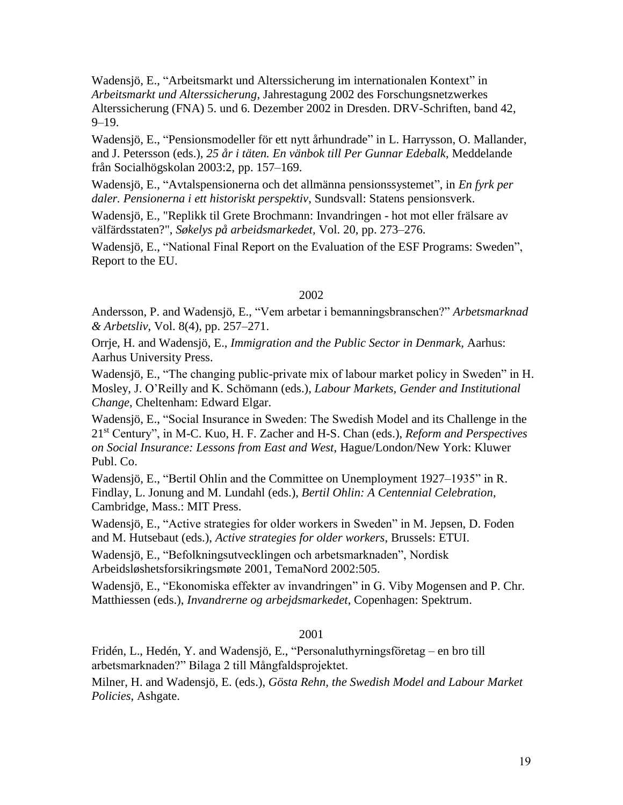Wadensjö, E., "Arbeitsmarkt und Alterssicherung im internationalen Kontext" in *Arbeitsmarkt und Alterssicherung*, Jahrestagung 2002 des Forschungsnetzwerkes Alterssicherung (FNA) 5. und 6. Dezember 2002 in Dresden. DRV-Schriften, band 42, 9–19.

Wadensjö, E., "Pensionsmodeller för ett nytt århundrade" in L. Harrysson, O. Mallander, and J. Petersson (eds.), *25 år i täten. En vänbok till Per Gunnar Edebalk*, Meddelande från Socialhögskolan 2003:2, pp. 157–169.

Wadensjö, E., "Avtalspensionerna och det allmänna pensionssystemet", in *En fyrk per daler. Pensionerna i ett historiskt perspektiv*, Sundsvall: Statens pensionsverk.

Wadensjö, E., "Replikk til Grete Brochmann: Invandringen - hot mot eller frälsare av välfärdsstaten?", *Søkelys på arbeidsmarkedet,* Vol. 20, pp. 273–276.

Wadensjö, E., "National Final Report on the Evaluation of the ESF Programs: Sweden", Report to the EU.

### 2002

Andersson, P. and Wadensjö, E., "Vem arbetar i bemanningsbranschen?" *Arbetsmarknad & Arbetsliv*, Vol. 8(4), pp. 257–271.

Orrje, H. and Wadensjö, E., *Immigration and the Public Sector in Denmark,* Aarhus: Aarhus University Press.

Wadensjö, E., "The changing public-private mix of labour market policy in Sweden" in H. Mosley, J. O'Reilly and K. Schömann (eds.), *Labour Markets, Gender and Institutional Change*, Cheltenham: Edward Elgar.

Wadensjö, E., "Social Insurance in Sweden: The Swedish Model and its Challenge in the 21st Century", in M-C. Kuo, H. F. Zacher and H-S. Chan (eds.), *Reform and Perspectives on Social Insurance: Lessons from East and West*, Hague/London/New York: Kluwer Publ. Co.

Wadensjö, E., "Bertil Ohlin and the Committee on Unemployment 1927*–*1935" in R. Findlay, L. Jonung and M. Lundahl (eds.), *Bertil Ohlin: A Centennial Celebration*, Cambridge, Mass.: MIT Press.

Wadensjö, E., "Active strategies for older workers in Sweden" in M. Jepsen, D. Foden and M. Hutsebaut (eds.), *Active strategies for older workers*, Brussels: ETUI.

Wadensjö, E., "Befolkningsutvecklingen och arbetsmarknaden", Nordisk Arbeidsløshetsforsikringsmøte 2001, TemaNord 2002:505.

Wadensjö, E., "Ekonomiska effekter av invandringen" in G. Viby Mogensen and P. Chr. Matthiessen (eds.), *Invandrerne og arbejdsmarkedet*, Copenhagen: Spektrum.

### 2001

Fridén, L., Hedén, Y. and Wadensjö, E., "Personaluthyrningsföretag – en bro till arbetsmarknaden?" Bilaga 2 till Mångfaldsprojektet.

Milner, H. and Wadensjö, E. (eds.), *Gösta Rehn, the Swedish Model and Labour Market Policies*, Ashgate.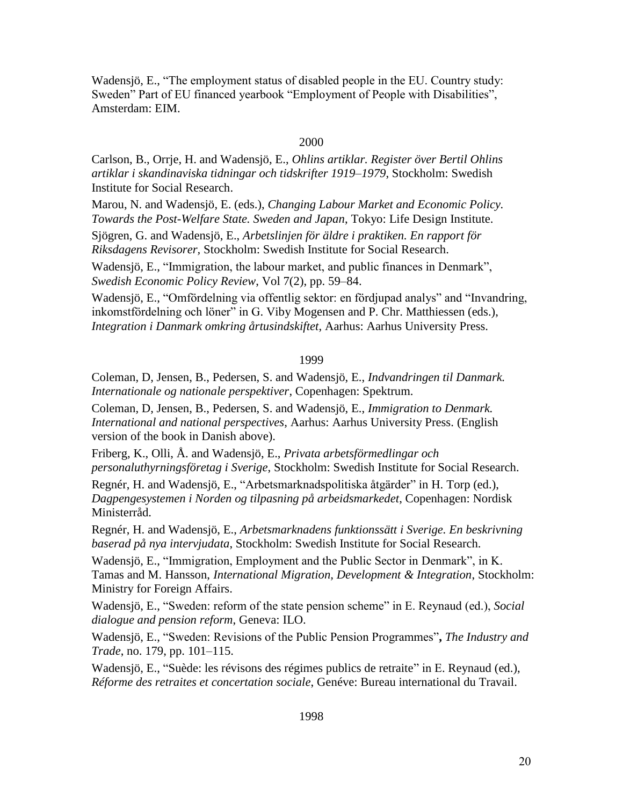Wadensjö, E., "The employment status of disabled people in the EU. Country study: Sweden" Part of EU financed yearbook "Employment of People with Disabilities", Amsterdam: EIM.

#### 2000

Carlson, B., Orrje, H. and Wadensjö, E., *Ohlins artiklar. Register över Bertil Ohlins artiklar i skandinaviska tidningar och tidskrifter 1919–1979*, Stockholm: Swedish Institute for Social Research.

Marou, N. and Wadensjö, E. (eds.), *Changing Labour Market and Economic Policy. Towards the Post-Welfare State. Sweden and Japan*, Tokyo: Life Design Institute.

Sjögren, G. and Wadensjö, E., *Arbetslinjen för äldre i praktiken. En rapport för Riksdagens Revisorer,* Stockholm: Swedish Institute for Social Research.

Wadensjö, E., "Immigration, the labour market, and public finances in Denmark", *Swedish Economic Policy Review*, Vol 7(2), pp. 59–84.

Wadensjö, E., "Omfördelning via offentlig sektor: en fördjupad analys" and "Invandring, inkomstfördelning och löner" in G. Viby Mogensen and P. Chr. Matthiessen (eds.), *Integration i Danmark omkring årtusindskiftet*, Aarhus: Aarhus University Press.

#### 1999

Coleman, D, Jensen, B., Pedersen, S. and Wadensjö, E., *Indvandringen til Danmark. Internationale og nationale perspektiver*, Copenhagen: Spektrum.

Coleman, D, Jensen, B., Pedersen, S. and Wadensjö, E., *Immigration to Denmark. International and national perspectives*, Aarhus: Aarhus University Press. (English version of the book in Danish above).

Friberg, K., Olli, Å. and Wadensjö, E., *Privata arbetsförmedlingar och personaluthyrningsföretag i Sverige*, Stockholm: Swedish Institute for Social Research.

Regnér, H. and Wadensjö, E., "Arbetsmarknadspolitiska åtgärder" in H. Torp (ed.), *Dagpengesystemen i Norden og tilpasning på arbeidsmarkedet*, Copenhagen: Nordisk Ministerråd.

Regnér, H. and Wadensjö, E., *Arbetsmarknadens funktionssätt i Sverige. En beskrivning baserad på nya intervjudata*, Stockholm: Swedish Institute for Social Research.

Wadensjö, E., "Immigration, Employment and the Public Sector in Denmark", in K. Tamas and M. Hansson, *International Migration, Development & Integration*, Stockholm: Ministry for Foreign Affairs.

Wadensjö, E., "Sweden: reform of the state pension scheme" in E. Reynaud (ed.), *Social dialogue and pension reform*, Geneva: ILO.

Wadensjö, E., "Sweden: Revisions of the Public Pension Programmes"**,** *The Industry and Trade*, no. 179, pp. 101–115.

Wadensjö, E., "Suède: les révisons des régimes publics de retraite" in E. Reynaud (ed.), *Réforme des retraites et concertation sociale*, Genéve: Bureau international du Travail.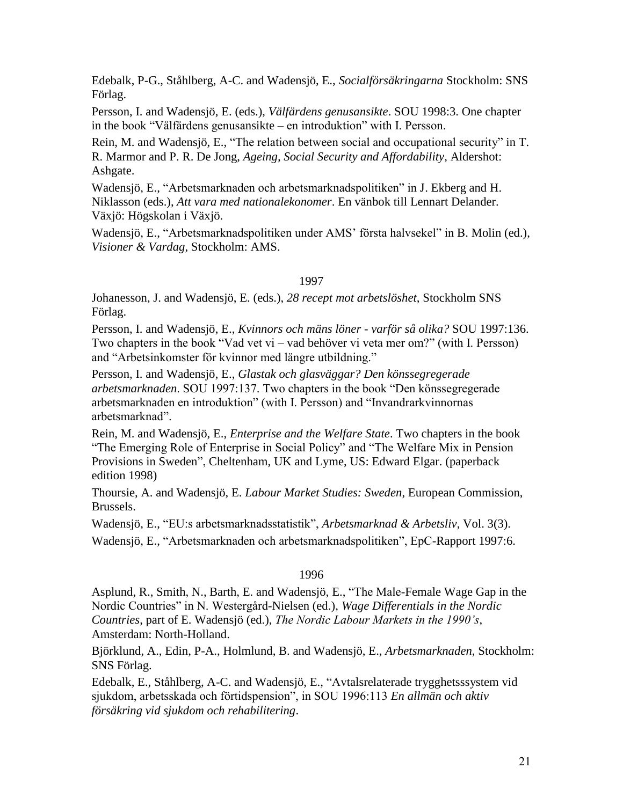Edebalk, P-G., Ståhlberg, A-C. and Wadensjö, E., *Socialförsäkringarna* Stockholm: SNS Förlag.

Persson, I. and Wadensjö, E. (eds.), *Välfärdens genusansikte*. SOU 1998:3. One chapter in the book "Välfärdens genusansikte *–* en introduktion" with I. Persson.

Rein, M. and Wadensjö, E., "The relation between social and occupational security" in T. R. Marmor and P. R. De Jong, *Ageing, Social Security and Affordability*, Aldershot: Ashgate.

Wadensjö, E., "Arbetsmarknaden och arbetsmarknadspolitiken" in J. Ekberg and H. Niklasson (eds.), *Att vara med nationalekonomer*. En vänbok till Lennart Delander. Växjö: Högskolan i Växjö.

Wadensjö, E., "Arbetsmarknadspolitiken under AMS' första halvsekel" in B. Molin (ed.), *Visioner & Vardag*, Stockholm: AMS.

# 1997

Johanesson, J. and Wadensjö, E. (eds.), *28 recept mot arbetslöshet,* Stockholm SNS Förlag.

Persson, I. and Wadensjö, E., *Kvinnors och mäns löner - varför så olika?* SOU 1997:136. Two chapters in the book "Vad vet vi – vad behöver vi veta mer om?" (with I. Persson) and "Arbetsinkomster för kvinnor med längre utbildning."

Persson, I. and Wadensjö, E., *Glastak och glasväggar? Den könssegregerade arbetsmarknaden*. SOU 1997:137. Two chapters in the book "Den könssegregerade arbetsmarknaden en introduktion" (with I. Persson) and "Invandrarkvinnornas arbetsmarknad".

Rein, M. and Wadensjö, E., *Enterprise and the Welfare State*. Two chapters in the book "The Emerging Role of Enterprise in Social Policy" and "The Welfare Mix in Pension Provisions in Sweden", Cheltenham, UK and Lyme, US: Edward Elgar. (paperback edition 1998)

Thoursie, A. and Wadensjö, E. *Labour Market Studies: Sweden*, European Commission, Brussels.

Wadensjö, E., "EU:s arbetsmarknadsstatistik", *Arbetsmarknad & Arbetsliv*, Vol. 3(3).

Wadensjö, E., "Arbetsmarknaden och arbetsmarknadspolitiken", EpC-Rapport 1997:6.

# 1996

Asplund, R., Smith, N., Barth, E. and Wadensjö, E., "The Male-Female Wage Gap in the Nordic Countries" in N. Westergård-Nielsen (ed.), *Wage Differentials in the Nordic Countries*, part of E. Wadensjö (ed.), *The Nordic Labour Markets in the 1990's*, Amsterdam: North-Holland.

Björklund, A., Edin, P-A., Holmlund, B. and Wadensjö, E., *Arbetsmarknaden*, Stockholm: SNS Förlag.

Edebalk, E., Ståhlberg, A-C. and Wadensjö, E., "Avtalsrelaterade trygghetsssystem vid sjukdom, arbetsskada och förtidspension", in SOU 1996:113 *En allmän och aktiv försäkring vid sjukdom och rehabilitering*.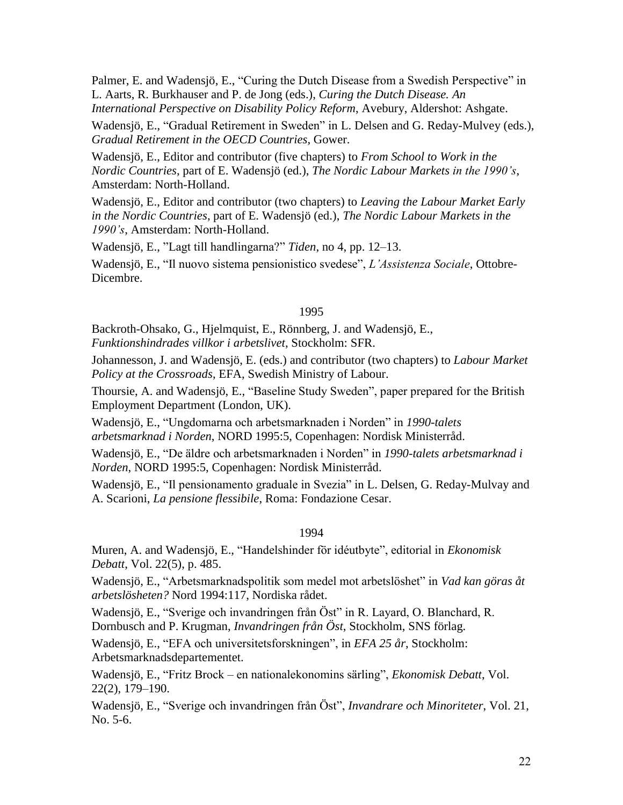Palmer, E. and Wadensjö, E., "Curing the Dutch Disease from a Swedish Perspective" in L. Aarts, R. Burkhauser and P. de Jong (eds.), *Curing the Dutch Disease. An International Perspective on Disability Policy Reform*, Avebury, Aldershot: Ashgate.

Wadensjö, E., "Gradual Retirement in Sweden" in L. Delsen and G. Reday-Mulvey (eds.), *Gradual Retirement in the OECD Countries*, Gower.

Wadensjö, E., Editor and contributor (five chapters) to *From School to Work in the Nordic Countries*, part of E. Wadensjö (ed.), *The Nordic Labour Markets in the 1990's*, Amsterdam: North-Holland.

Wadensjö, E., Editor and contributor (two chapters) to *Leaving the Labour Market Early in the Nordic Countries*, part of E. Wadensjö (ed.), *The Nordic Labour Markets in the 1990's*, Amsterdam: North-Holland.

Wadensjö, E., "Lagt till handlingarna?" *Tiden*, no 4, pp. 12–13.

Wadensjö, E., "Il nuovo sistema pensionistico svedese", *L'Assistenza Sociale*, Ottobre-Dicembre.

# 1995

Backroth-Ohsako, G., Hjelmquist, E., Rönnberg, J. and Wadensjö, E., *Funktionshindrades villkor i arbetslivet*, Stockholm: SFR.

Johannesson, J. and Wadensjö, E. (eds.) and contributor (two chapters) to *Labour Market Policy at the Crossroads*, EFA, Swedish Ministry of Labour.

Thoursie, A. and Wadensjö, E., "Baseline Study Sweden", paper prepared for the British Employment Department (London, UK).

Wadensjö, E., "Ungdomarna och arbetsmarknaden i Norden" in *1990-talets arbetsmarknad i Norden*, NORD 1995:5, Copenhagen: Nordisk Ministerråd.

Wadensjö, E., "De äldre och arbetsmarknaden i Norden" in *1990-talets arbetsmarknad i Norden*, NORD 1995:5, Copenhagen: Nordisk Ministerråd.

Wadensjö, E., "Il pensionamento graduale in Svezia" in L. Delsen, G. Reday-Mulvay and A. Scarioni, *La pensione flessibile*, Roma: Fondazione Cesar.

1994

Muren, A. and Wadensjö, E., "Handelshinder för idéutbyte", editorial in *Ekonomisk Debatt*, Vol. 22(5), p. 485.

Wadensjö, E., "Arbetsmarknadspolitik som medel mot arbetslöshet" in *Vad kan göras åt arbetslösheten?* Nord 1994:117, Nordiska rådet.

Wadensjö, E., "Sverige och invandringen från Öst" in R. Layard, O. Blanchard, R. Dornbusch and P. Krugman, *Invandringen från Öst*, Stockholm, SNS förlag.

Wadensjö, E., "EFA och universitetsforskningen", in *EFA 25 år*, Stockholm: Arbetsmarknadsdepartementet.

Wadensjö, E., "Fritz Brock – en nationalekonomins särling", *Ekonomisk Debatt*, Vol. 22(2), 179–190.

Wadensjö, E., "Sverige och invandringen från Öst", *Invandrare och Minoriteter*, Vol. 21, No. 5-6.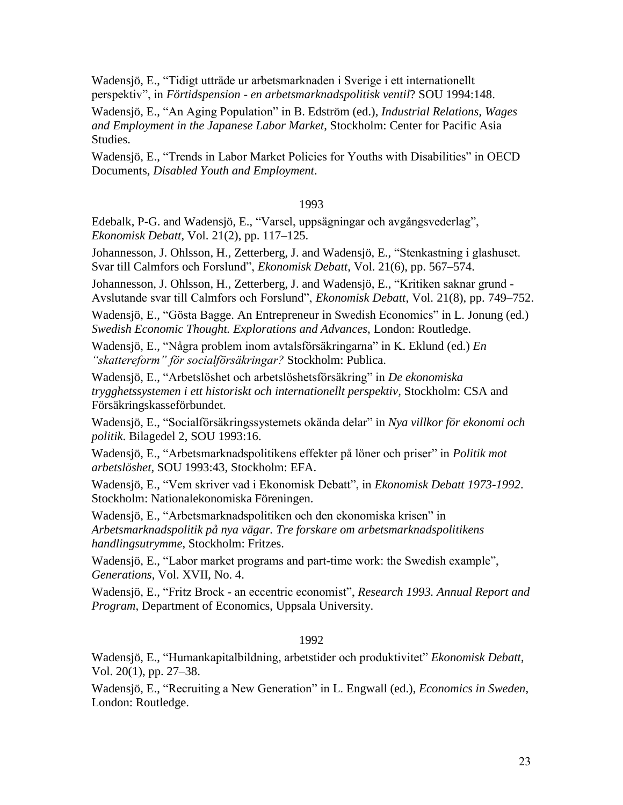Wadensjö, E., "Tidigt utträde ur arbetsmarknaden i Sverige i ett internationellt perspektiv", in *Förtidspension - en arbetsmarknadspolitisk ventil*? SOU 1994:148.

Wadensjö, E., "An Aging Population" in B. Edström (ed.), *Industrial Relations, Wages and Employment in the Japanese Labor Market*, Stockholm: Center for Pacific Asia Studies.

Wadensjö, E., "Trends in Labor Market Policies for Youths with Disabilities" in OECD Documents, *Disabled Youth and Employment*.

# 1993

Edebalk, P-G. and Wadensjö, E., "Varsel, uppsägningar och avgångsvederlag", *Ekonomisk Debatt*, Vol. 21(2), pp. 117*–*125.

Johannesson, J. Ohlsson, H., Zetterberg, J. and Wadensjö, E., "Stenkastning i glashuset. Svar till Calmfors och Forslund", *Ekonomisk Debatt*, Vol. 21(6), pp. 567*–*574.

Johannesson, J. Ohlsson, H., Zetterberg, J. and Wadensjö, E., "Kritiken saknar grund - Avslutande svar till Calmfors och Forslund", *Ekonomisk Debatt*, Vol. 21(8), pp. 749*–*752.

Wadensjö, E., "Gösta Bagge. An Entrepreneur in Swedish Economics" in L. Jonung (ed.) *Swedish Economic Thought. Explorations and Advances*, London: Routledge.

Wadensjö, E., "Några problem inom avtalsförsäkringarna" in K. Eklund (ed.) *En "skattereform" för socialförsäkringar?* Stockholm: Publica.

Wadensjö, E., "Arbetslöshet och arbetslöshetsförsäkring" in *De ekonomiska trygghetssystemen i ett historiskt och internationellt perspektiv,* Stockholm: CSA and Försäkringskasseförbundet.

Wadensjö, E., "Socialförsäkringssystemets okända delar" in *Nya villkor för ekonomi och politik*. Bilagedel 2, SOU 1993:16.

Wadensjö, E., "Arbetsmarknadspolitikens effekter på löner och priser" in *Politik mot arbetslöshet,* SOU 1993:43, Stockholm: EFA.

Wadensjö, E., "Vem skriver vad i Ekonomisk Debatt", in *Ekonomisk Debatt 1973-1992*. Stockholm: Nationalekonomiska Föreningen.

Wadensjö, E., "Arbetsmarknadspolitiken och den ekonomiska krisen" in *Arbetsmarknadspolitik på nya vägar. Tre forskare om arbetsmarknadspolitikens handlingsutrymme*, Stockholm: Fritzes.

Wadensjö, E., "Labor market programs and part-time work: the Swedish example", *Generations*, Vol. XVII, No. 4.

Wadensjö, E., "Fritz Brock - an eccentric economist", *Research 1993. Annual Report and Program*, Department of Economics, Uppsala University.

# 1992

Wadensjö, E., "Humankapitalbildning, arbetstider och produktivitet" *Ekonomisk Debatt*, Vol. 20(1), pp. 27*–*38.

Wadensjö, E., "Recruiting a New Generation" in L. Engwall (ed.), *Economics in Sweden*, London: Routledge.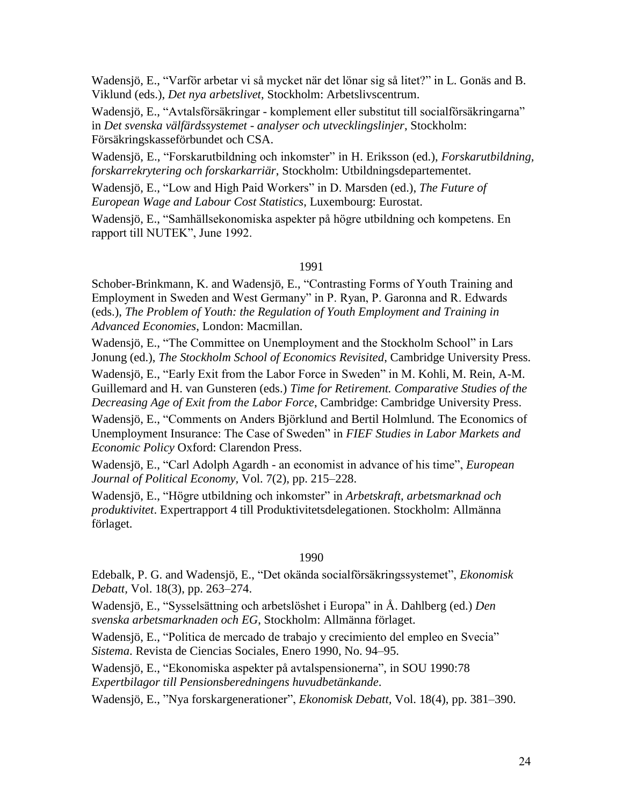Wadensjö, E., "Varför arbetar vi så mycket när det lönar sig så litet?" in L. Gonäs and B. Viklund (eds.), *Det nya arbetslivet*, Stockholm: Arbetslivscentrum.

Wadensjö, E., "Avtalsförsäkringar - komplement eller substitut till socialförsäkringarna" in *Det svenska välfärdssystemet - analyser och utvecklingslinjer*, Stockholm: Försäkringskasseförbundet och CSA.

Wadensjö, E., "Forskarutbildning och inkomster" in H. Eriksson (ed.), *Forskarutbildning, forskarrekrytering och forskarkarriär*, Stockholm: Utbildningsdepartementet.

Wadensjö, E., "Low and High Paid Workers" in D. Marsden (ed.), *The Future of European Wage and Labour Cost Statistics*, Luxembourg: Eurostat.

Wadensjö, E., "Samhällsekonomiska aspekter på högre utbildning och kompetens. En rapport till NUTEK", June 1992.

# 1991

Schober-Brinkmann, K. and Wadensjö, E., "Contrasting Forms of Youth Training and Employment in Sweden and West Germany" in P. Ryan, P. Garonna and R. Edwards (eds.), *The Problem of Youth: the Regulation of Youth Employment and Training in Advanced Economies*, London: Macmillan.

Wadensjö, E., "The Committee on Unemployment and the Stockholm School" in Lars Jonung (ed.), *The Stockholm School of Economics Revisited*, Cambridge University Press.

Wadensjö, E., "Early Exit from the Labor Force in Sweden" in M. Kohli, M. Rein, A-M. Guillemard and H. van Gunsteren (eds.) *Time for Retirement. Comparative Studies of the Decreasing Age of Exit from the Labor Force*, Cambridge: Cambridge University Press.

Wadensjö, E., "Comments on Anders Björklund and Bertil Holmlund. The Economics of Unemployment Insurance: The Case of Sweden" in *FIEF Studies in Labor Markets and Economic Policy* Oxford: Clarendon Press.

Wadensjö, E., "Carl Adolph Agardh - an economist in advance of his time", *European Journal of Political Economy,* Vol. 7(2), pp. 215*–*228.

Wadensjö, E., "Högre utbildning och inkomster" in *Arbetskraft, arbetsmarknad och produktivitet*. Expertrapport 4 till Produktivitetsdelegationen. Stockholm: Allmänna förlaget.

### 1990

Edebalk, P. G. and Wadensjö, E., "Det okända socialförsäkringssystemet", *Ekonomisk Debatt,* Vol. 18(3), pp. 263–274.

Wadensjö, E., "Sysselsättning och arbetslöshet i Europa" in Å. Dahlberg (ed.) *Den svenska arbetsmarknaden och EG*, Stockholm: Allmänna förlaget.

Wadensjö, E., "Politica de mercado de trabajo y crecimiento del empleo en Svecia" *Sistema*. Revista de Ciencias Sociales, Enero 1990, No. 94–95.

Wadensjö, E., "Ekonomiska aspekter på avtalspensionerna", in SOU 1990:78 *Expertbilagor till Pensionsberedningens huvudbetänkande*.

Wadensjö, E., "Nya forskargenerationer", *Ekonomisk Debatt,* Vol. 18(4), pp. 381–390.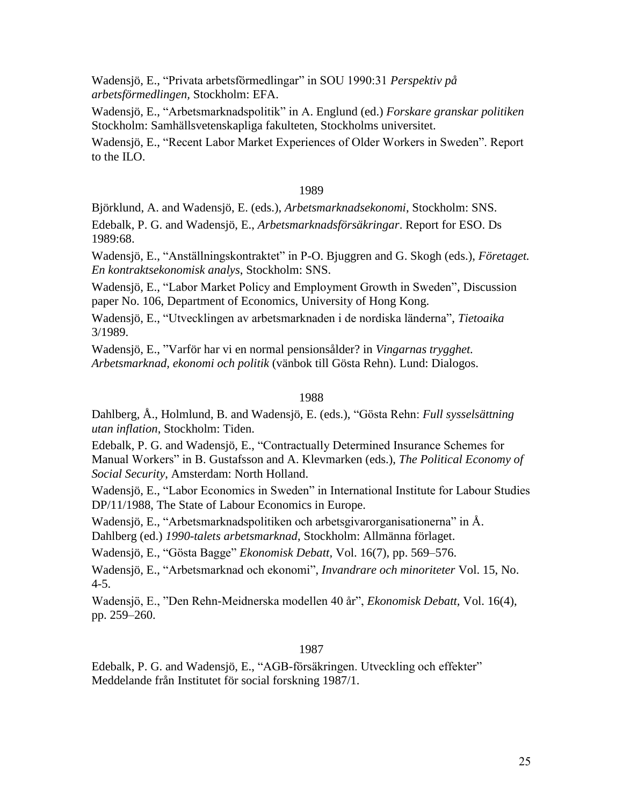Wadensjö, E., "Privata arbetsförmedlingar" in SOU 1990:31 *Perspektiv på arbetsförmedlingen,* Stockholm: EFA.

Wadensjö, E., "Arbetsmarknadspolitik" in A. Englund (ed.) *Forskare granskar politiken* Stockholm: Samhällsvetenskapliga fakulteten, Stockholms universitet.

Wadensjö, E., "Recent Labor Market Experiences of Older Workers in Sweden". Report to the ILO.

# 1989

Björklund, A. and Wadensjö, E. (eds.), *Arbetsmarknadsekonomi*, Stockholm: SNS.

Edebalk, P. G. and Wadensjö, E., *Arbetsmarknadsförsäkringar*. Report for ESO. Ds 1989:68.

Wadensjö, E., "Anställningskontraktet" in P-O. Bjuggren and G. Skogh (eds.), *Företaget. En kontraktsekonomisk analys*, Stockholm: SNS.

Wadensjö, E., "Labor Market Policy and Employment Growth in Sweden", Discussion paper No. 106, Department of Economics, University of Hong Kong.

Wadensjö, E., "Utvecklingen av arbetsmarknaden i de nordiska länderna", *Tietoaika* 3/1989.

Wadensjö, E., "Varför har vi en normal pensionsålder? in *Vingarnas trygghet. Arbetsmarknad, ekonomi och politik* (vänbok till Gösta Rehn). Lund: Dialogos.

# 1988

Dahlberg, Å., Holmlund, B. and Wadensjö, E. (eds.), "Gösta Rehn: *Full sysselsättning utan inflation*, Stockholm: Tiden.

Edebalk, P. G. and Wadensjö, E., "Contractually Determined Insurance Schemes for Manual Workers" in B. Gustafsson and A. Klevmarken (eds.), *The Political Economy of Social Security*, Amsterdam: North Holland.

Wadensjö, E., "Labor Economics in Sweden" in International Institute for Labour Studies DP/11/1988, The State of Labour Economics in Europe.

Wadensjö, E., "Arbetsmarknadspolitiken och arbetsgivarorganisationerna" in Å. Dahlberg (ed.) *1990-talets arbetsmarknad*, Stockholm: Allmänna förlaget.

Wadensjö, E., "Gösta Bagge" *Ekonomisk Debatt,* Vol. 16(7), pp. 569–576.

Wadensjö, E., "Arbetsmarknad och ekonomi", *Invandrare och minoriteter* Vol. 15, No. 4-5.

Wadensjö, E., "Den Rehn-Meidnerska modellen 40 år", *Ekonomisk Debatt,* Vol. 16(4), pp. 259–260.

# 1987

Edebalk, P. G. and Wadensjö, E., "AGB-försäkringen. Utveckling och effekter" Meddelande från Institutet för social forskning 1987/1.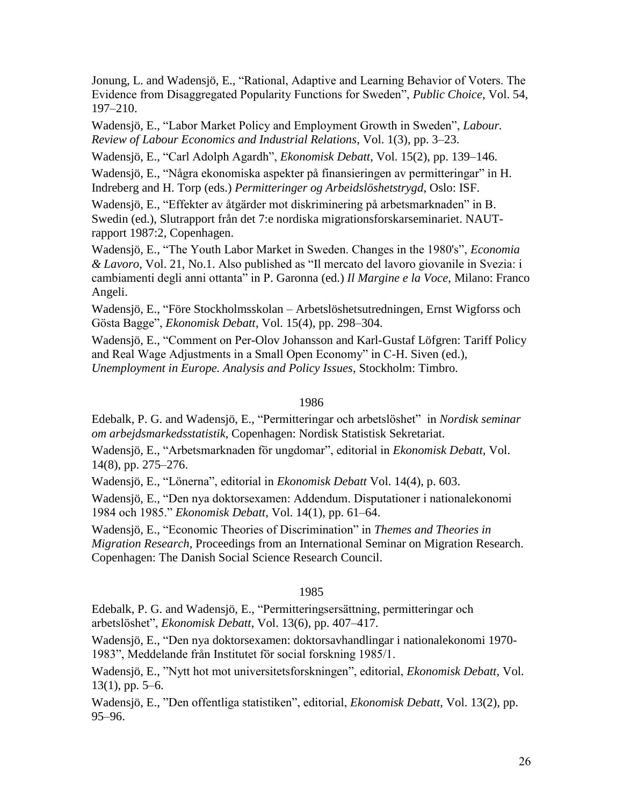Jonung, L. and Wadensjö, E., "Rational, Adaptive and Learning Behavior of Voters. The Evidence from Disaggregated Popularity Functions for Sweden", *Public Choice,* Vol. 54, 197–210.

Wadensjö, E., "Labor Market Policy and Employment Growth in Sweden", *Labour. Review of Labour Economics and Industrial Relations*, Vol. 1(3), pp. 3–23.

Wadensjö, E., "Carl Adolph Agardh", *Ekonomisk Debatt*, Vol. 15(2), pp. 139–146.

Wadensjö, E., "Några ekonomiska aspekter på finansieringen av permitteringar" in H. Indreberg and H. Torp (eds.) *Permitteringer og Arbeidslöshetstrygd*, Oslo: ISF.

Wadensjö, E., "Effekter av åtgärder mot diskriminering på arbetsmarknaden" in B. Swedin (ed.), Slutrapport från det 7:e nordiska migrationsforskarseminariet. NAUTrapport 1987:2, Copenhagen.

Wadensjö, E., "The Youth Labor Market in Sweden. Changes in the 1980's", *Economia & Lavoro*, Vol. 21, No.1. Also published as "Il mercato del lavoro giovanile in Svezia: i cambiamenti degli anni ottanta" in P. Garonna (ed.) *Il Margine e la Voce*, Milano: Franco Angeli.

Wadensjö, E., "Före Stockholmsskolan – Arbetslöshetsutredningen, Ernst Wigforss och Gösta Bagge", *Ekonomisk Debatt*, Vol. 15(4), pp. 298–304.

Wadensjö, E., "Comment on Per-Olov Johansson and Karl-Gustaf Löfgren: Tariff Policy and Real Wage Adjustments in a Small Open Economy" in C-H. Siven (ed.), *Unemployment in Europe. Analysis and Policy Issues*, Stockholm: Timbro.

#### 1986

Edebalk, P. G. and Wadensjö, E., "Permitteringar och arbetslöshet" in *Nordisk seminar om arbejdsmarkedsstatistik*, Copenhagen: Nordisk Statistisk Sekretariat.

Wadensjö, E., "Arbetsmarknaden för ungdomar", editorial in *Ekonomisk Debatt,* Vol. 14(8), pp. 275*–*276.

Wadensjö, E., "Lönerna", editorial in *Ekonomisk Debatt* Vol. 14(4), p. 603.

Wadensjö, E., "Den nya doktorsexamen: Addendum. Disputationer i nationalekonomi 1984 och 1985." *Ekonomisk Debatt*, Vol. 14(1), pp. 61–64.

Wadensjö, E., "Economic Theories of Discrimination" in *Themes and Theories in Migration Research*, Proceedings from an International Seminar on Migration Research. Copenhagen: The Danish Social Science Research Council.

#### 1985

Edebalk, P. G. and Wadensjö, E., "Permitteringsersättning, permitteringar och arbetslöshet", *Ekonomisk Debatt*, Vol. 13(6), pp. 407*–*417.

Wadensjö, E., "Den nya doktorsexamen: doktorsavhandlingar i nationalekonomi 1970- 1983", Meddelande från Institutet för social forskning 1985/1.

Wadensjö, E., "Nytt hot mot universitetsforskningen", editorial, *Ekonomisk Debatt*, Vol.  $13(1)$ , pp. 5–6.

Wadensjö, E., "Den offentliga statistiken", editorial, *Ekonomisk Debatt*, Vol. 13(2), pp. 95–96.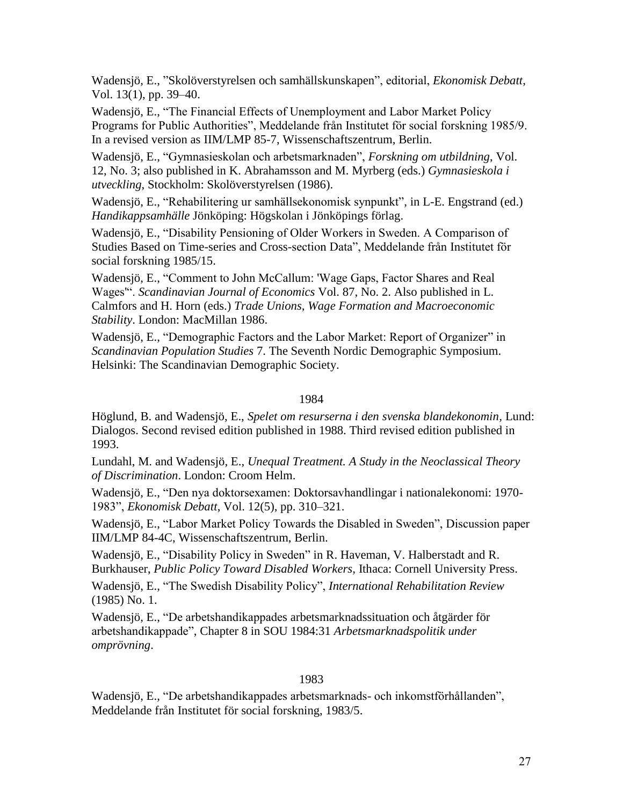Wadensjö, E., "Skolöverstyrelsen och samhällskunskapen", editorial, *Ekonomisk Debatt*, Vol. 13(1), pp. 39–40.

Wadensjö, E., "The Financial Effects of Unemployment and Labor Market Policy Programs for Public Authorities", Meddelande från Institutet för social forskning 1985/9. In a revised version as IIM/LMP 85-7, Wissenschaftszentrum, Berlin.

Wadensjö, E., "Gymnasieskolan och arbetsmarknaden", *Forskning om utbildning*, Vol. 12, No. 3; also published in K. Abrahamsson and M. Myrberg (eds.) *Gymnasieskola i utveckling*, Stockholm: Skolöverstyrelsen (1986).

Wadensjö, E., "Rehabilitering ur samhällsekonomisk synpunkt", in L-E. Engstrand (ed.) *Handikappsamhälle* Jönköping: Högskolan i Jönköpings förlag.

Wadensjö, E., "Disability Pensioning of Older Workers in Sweden. A Comparison of Studies Based on Time-series and Cross-section Data", Meddelande från Institutet för social forskning 1985/15.

Wadensjö, E., "Comment to John McCallum: 'Wage Gaps, Factor Shares and Real Wages'". *Scandinavian Journal of Economics* Vol. 87, No. 2. Also published in L. Calmfors and H. Horn (eds.) *Trade Unions, Wage Formation and Macroeconomic Stability*. London: MacMillan 1986.

Wadensjö, E., "Demographic Factors and the Labor Market: Report of Organizer" in *Scandinavian Population Studies* 7. The Seventh Nordic Demographic Symposium. Helsinki: The Scandinavian Demographic Society.

# 1984

Höglund, B. and Wadensjö, E., *Spelet om resurserna i den svenska blandekonomin,* Lund: Dialogos. Second revised edition published in 1988. Third revised edition published in 1993.

Lundahl, M. and Wadensjö, E., *Unequal Treatment. A Study in the Neoclassical Theory of Discrimination*. London: Croom Helm.

Wadensjö, E., "Den nya doktorsexamen: Doktorsavhandlingar i nationalekonomi: 1970- 1983", *Ekonomisk Debatt*, Vol. 12(5), pp. 310*–*321.

Wadensjö, E., "Labor Market Policy Towards the Disabled in Sweden", Discussion paper IIM/LMP 84-4C, Wissenschaftszentrum, Berlin.

Wadensjö, E., "Disability Policy in Sweden" in R. Haveman, V. Halberstadt and R. Burkhauser, *Public Policy Toward Disabled Workers*, Ithaca: Cornell University Press.

Wadensjö, E., "The Swedish Disability Policy", *International Rehabilitation Review* (1985) No. 1.

Wadensjö, E., "De arbetshandikappades arbetsmarknadssituation och åtgärder för arbetshandikappade", Chapter 8 in SOU 1984:31 *Arbetsmarknadspolitik under omprövning*.

# 1983

Wadensjö, E., "De arbetshandikappades arbetsmarknads- och inkomstförhållanden", Meddelande från Institutet för social forskning, 1983/5.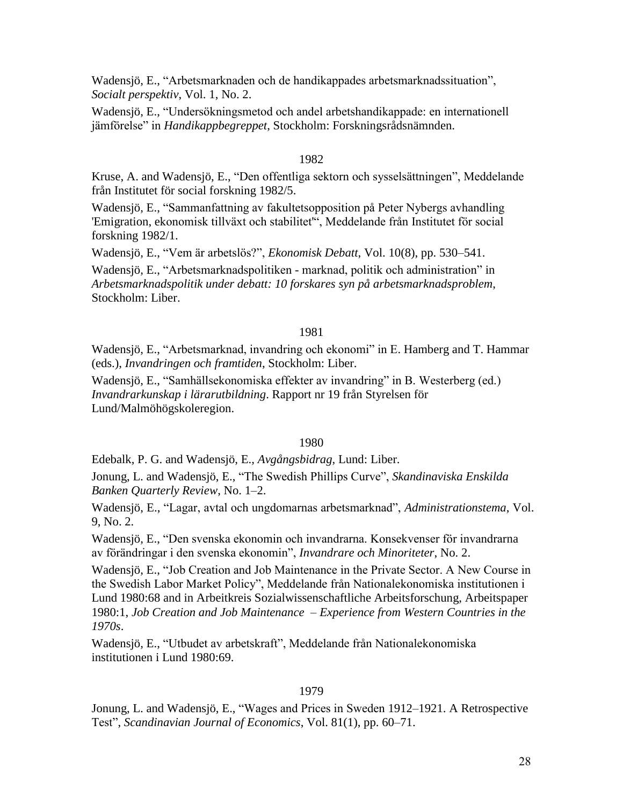Wadensjö, E., "Arbetsmarknaden och de handikappades arbetsmarknadssituation", *Socialt perspektiv*, Vol. 1, No. 2.

Wadensjö, E., "Undersökningsmetod och andel arbetshandikappade: en internationell jämförelse" in *Handikappbegreppet*, Stockholm: Forskningsrådsnämnden.

### 1982

Kruse, A. and Wadensjö, E., "Den offentliga sektorn och sysselsättningen", Meddelande från Institutet för social forskning 1982/5.

Wadensjö, E., "Sammanfattning av fakultetsopposition på Peter Nybergs avhandling 'Emigration, ekonomisk tillväxt och stabilitet'", Meddelande från Institutet för social forskning 1982/1.

Wadensjö, E., "Vem är arbetslös?", *Ekonomisk Debatt*, Vol. 10(8), pp. 530–541.

Wadensjö, E., "Arbetsmarknadspolitiken - marknad, politik och administration" in *Arbetsmarknadspolitik under debatt: 10 forskares syn på arbetsmarknadsproblem*, Stockholm: Liber.

### 1981

Wadensjö, E., "Arbetsmarknad, invandring och ekonomi" in E. Hamberg and T. Hammar (eds.), *Invandringen och framtiden*, Stockholm: Liber.

Wadensjö, E., "Samhällsekonomiska effekter av invandring" in B. Westerberg (ed.) *Invandrarkunskap i lärarutbildning*. Rapport nr 19 från Styrelsen för Lund/Malmöhögskoleregion.

# 1980

Edebalk, P. G. and Wadensjö, E., *Avgångsbidrag*, Lund: Liber.

Jonung, L. and Wadensjö, E., "The Swedish Phillips Curve", *Skandinaviska Enskilda Banken Quarterly Review*, No. 1*–*2.

Wadensjö, E., "Lagar, avtal och ungdomarnas arbetsmarknad", *Administrationstema*, Vol. 9, No. 2.

Wadensjö, E., "Den svenska ekonomin och invandrarna. Konsekvenser för invandrarna av förändringar i den svenska ekonomin", *Invandrare och Minoriteter*, No. 2.

Wadensjö, E., "Job Creation and Job Maintenance in the Private Sector. A New Course in the Swedish Labor Market Policy", Meddelande från Nationalekonomiska institutionen i Lund 1980:68 and in Arbeitkreis Sozialwissenschaftliche Arbeitsforschung, Arbeitspaper 1980:1, *Job Creation and Job Maintenance – Experience from Western Countries in the 1970s*.

Wadensjö, E., "Utbudet av arbetskraft", Meddelande från Nationalekonomiska institutionen i Lund 1980:69.

#### 1979

Jonung, L. and Wadensjö, E., "Wages and Prices in Sweden 1912–1921. A Retrospective Test", *Scandinavian Journal of Economics*, Vol. 81(1), pp. 60–71.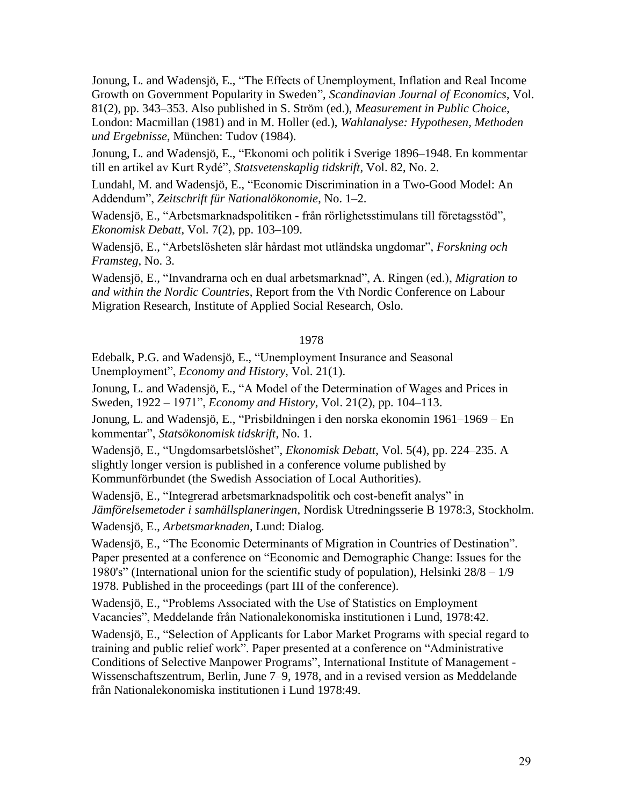Jonung, L. and Wadensjö, E., "The Effects of Unemployment, Inflation and Real Income Growth on Government Popularity in Sweden", *Scandinavian Journal of Economics*, Vol. 81(2), pp. 343–353. Also published in S. Ström (ed.), *Measurement in Public Choice*, London: Macmillan (1981) and in M. Holler (ed.), *Wahlanalyse: Hypothesen, Methoden und Ergebnisse*, München: Tudov (1984).

Jonung, L. and Wadensjö, E., "Ekonomi och politik i Sverige 1896–1948. En kommentar till en artikel av Kurt Rydé", *Statsvetenskaplig tidskrift*, Vol. 82, No. 2.

Lundahl, M. and Wadensjö, E., "Economic Discrimination in a Two-Good Model: An Addendum", *Zeitschrift für Nationalökonomie*, No. 1–2.

Wadensjö, E., "Arbetsmarknadspolitiken - från rörlighetsstimulans till företagsstöd", *Ekonomisk Debatt*, Vol. 7(2), pp. 103–109.

Wadensjö, E., "Arbetslösheten slår hårdast mot utländska ungdomar", *Forskning och Framsteg*, No. 3.

Wadensjö, E., "Invandrarna och en dual arbetsmarknad", A. Ringen (ed.), *Migration to and within the Nordic Countries*, Report from the Vth Nordic Conference on Labour Migration Research, Institute of Applied Social Research, Oslo.

# 1978

Edebalk, P.G. and Wadensjö, E., "Unemployment Insurance and Seasonal Unemployment", *Economy and History*, Vol. 21(1).

Jonung, L. and Wadensjö, E., "A Model of the Determination of Wages and Prices in Sweden, 1922 – 1971", *Economy and History*, Vol. 21(2), pp. 104–113.

Jonung, L. and Wadensjö, E., "Prisbildningen i den norska ekonomin 1961–1969 – En kommentar", *Statsökonomisk tidskrift*, No. 1.

Wadensjö, E., "Ungdomsarbetslöshet", *Ekonomisk Debatt*, Vol. 5(4), pp. 224–235. A slightly longer version is published in a conference volume published by Kommunförbundet (the Swedish Association of Local Authorities).

Wadensjö, E., "Integrerad arbetsmarknadspolitik och cost-benefit analys" in *Jämförelsemetoder i samhällsplaneringen*, Nordisk Utredningsserie B 1978:3, Stockholm.

Wadensjö, E., *Arbetsmarknaden*, Lund: Dialog.

Wadensjö, E., "The Economic Determinants of Migration in Countries of Destination". Paper presented at a conference on "Economic and Demographic Change: Issues for the 1980's" (International union for the scientific study of population), Helsinki 28/8 *–* 1/9 1978. Published in the proceedings (part III of the conference).

Wadensjö, E., "Problems Associated with the Use of Statistics on Employment Vacancies", Meddelande från Nationalekonomiska institutionen i Lund, 1978:42.

Wadensjö, E., "Selection of Applicants for Labor Market Programs with special regard to training and public relief work". Paper presented at a conference on "Administrative Conditions of Selective Manpower Programs", International Institute of Management - Wissenschaftszentrum, Berlin, June 7*–*9, 1978, and in a revised version as Meddelande från Nationalekonomiska institutionen i Lund 1978:49.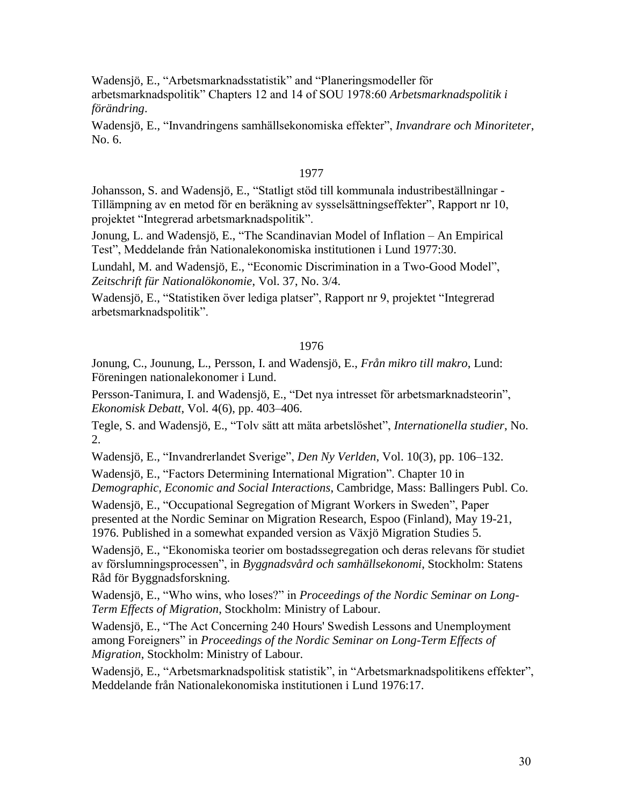Wadensjö, E., "Arbetsmarknadsstatistik" and "Planeringsmodeller för arbetsmarknadspolitik" Chapters 12 and 14 of SOU 1978:60 *Arbetsmarknadspolitik i förändring*.

Wadensjö, E., "Invandringens samhällsekonomiska effekter", *Invandrare och Minoriteter*, No. 6.

# 1977

Johansson, S. and Wadensjö, E., "Statligt stöd till kommunala industribeställningar - Tillämpning av en metod för en beräkning av sysselsättningseffekter", Rapport nr 10, projektet "Integrerad arbetsmarknadspolitik".

Jonung, L. and Wadensjö, E., "The Scandinavian Model of Inflation – An Empirical Test", Meddelande från Nationalekonomiska institutionen i Lund 1977:30.

Lundahl, M. and Wadensjö, E., "Economic Discrimination in a Two-Good Model", *Zeitschrift für Nationalökonomie*, Vol. 37, No. 3/4.

Wadensjö, E., "Statistiken över lediga platser", Rapport nr 9, projektet "Integrerad arbetsmarknadspolitik".

# 1976

Jonung, C., Jounung, L., Persson, I. and Wadensjö, E., *Från mikro till makro*, Lund: Föreningen nationalekonomer i Lund.

Persson-Tanimura, I. and Wadensjö, E., "Det nya intresset för arbetsmarknadsteorin", *Ekonomisk Debatt*, Vol. 4(6), pp. 403*–*406.

Tegle, S. and Wadensjö, E., "Tolv sätt att mäta arbetslöshet", *Internationella studier*, No. 2.

Wadensjö, E., "Invandrerlandet Sverige", *Den Ny Verlden*, Vol. 10(3), pp. 106–132.

Wadensjö, E., "Factors Determining International Migration". Chapter 10 in *Demographic, Economic and Social Interactions*, Cambridge, Mass: Ballingers Publ. Co.

Wadensjö, E., "Occupational Segregation of Migrant Workers in Sweden", Paper presented at the Nordic Seminar on Migration Research, Espoo (Finland), May 19-21, 1976. Published in a somewhat expanded version as Växjö Migration Studies 5.

Wadensjö, E., "Ekonomiska teorier om bostadssegregation och deras relevans för studiet av förslumningsprocessen", in *Byggnadsvård och samhällsekonomi*, Stockholm: Statens Råd för Byggnadsforskning.

Wadensjö, E., "Who wins, who loses?" in *Proceedings of the Nordic Seminar on Long-Term Effects of Migration*, Stockholm: Ministry of Labour.

Wadensjö, E., "The Act Concerning 240 Hours' Swedish Lessons and Unemployment among Foreigners" in *Proceedings of the Nordic Seminar on Long-Term Effects of Migration*, Stockholm: Ministry of Labour.

Wadensjö, E., "Arbetsmarknadspolitisk statistik", in "Arbetsmarknadspolitikens effekter", Meddelande från Nationalekonomiska institutionen i Lund 1976:17.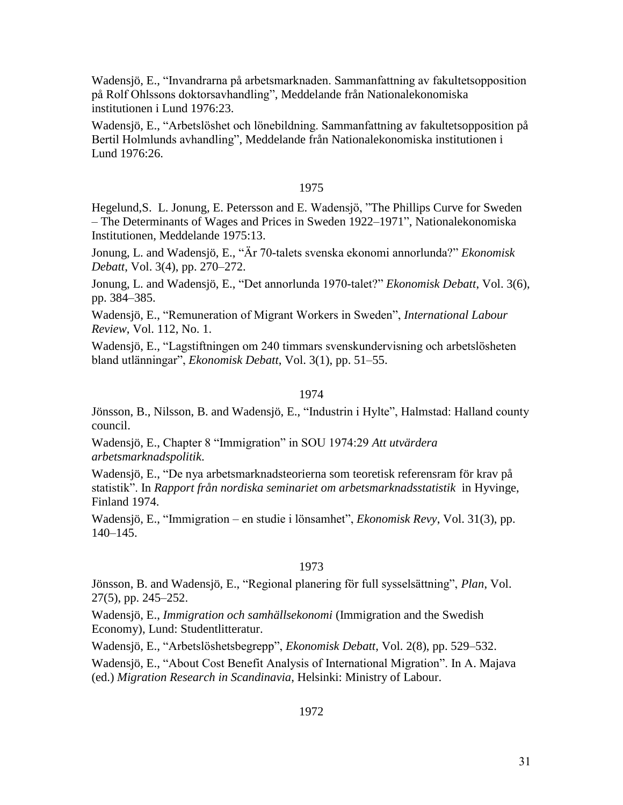Wadensjö, E., "Invandrarna på arbetsmarknaden. Sammanfattning av fakultetsopposition på Rolf Ohlssons doktorsavhandling", Meddelande från Nationalekonomiska institutionen i Lund 1976:23.

Wadensjö, E., "Arbetslöshet och lönebildning. Sammanfattning av fakultetsopposition på Bertil Holmlunds avhandling", Meddelande från Nationalekonomiska institutionen i Lund 1976:26.

# 1975

Hegelund,S. L. Jonung, E. Petersson and E. Wadensjö, "The Phillips Curve for Sweden – The Determinants of Wages and Prices in Sweden 1922–1971", Nationalekonomiska Institutionen, Meddelande 1975:13.

Jonung, L. and Wadensjö, E., "Är 70-talets svenska ekonomi annorlunda?" *Ekonomisk Debatt*, Vol. 3(4), pp. 270–272.

Jonung, L. and Wadensjö, E., "Det annorlunda 1970-talet?" *Ekonomisk Debatt*, Vol. 3(6), pp. 384–385.

Wadensjö, E., "Remuneration of Migrant Workers in Sweden", *International Labour Review*, Vol. 112, No. 1.

Wadensjö, E., "Lagstiftningen om 240 timmars svenskundervisning och arbetslösheten bland utlänningar", *Ekonomisk Debatt*, Vol. 3(1), pp. 51–55.

#### 1974

Jönsson, B., Nilsson, B. and Wadensjö, E., "Industrin i Hylte", Halmstad: Halland county council.

Wadensjö, E., Chapter 8 "Immigration" in SOU 1974:29 *Att utvärdera arbetsmarknadspolitik*.

Wadensjö, E., "De nya arbetsmarknadsteorierna som teoretisk referensram för krav på statistik". In *Rapport från nordiska seminariet om arbetsmarknadsstatistik* in Hyvinge, Finland 1974.

Wadensjö, E., "Immigration – en studie i lönsamhet", *Ekonomisk Revy*, Vol. 31(3), pp. 140–145.

### 1973

Jönsson, B. and Wadensjö, E., "Regional planering för full sysselsättning", *Plan*, Vol. 27(5), pp. 245–252.

Wadensjö, E., *Immigration och samhällsekonomi* (Immigration and the Swedish Economy), Lund: Studentlitteratur.

Wadensjö, E., "Arbetslöshetsbegrepp", *Ekonomisk Debatt*, Vol. 2(8), pp. 529–532.

Wadensjö, E., "About Cost Benefit Analysis of International Migration". In A. Majava (ed.) *Migration Research in Scandinavia*, Helsinki: Ministry of Labour.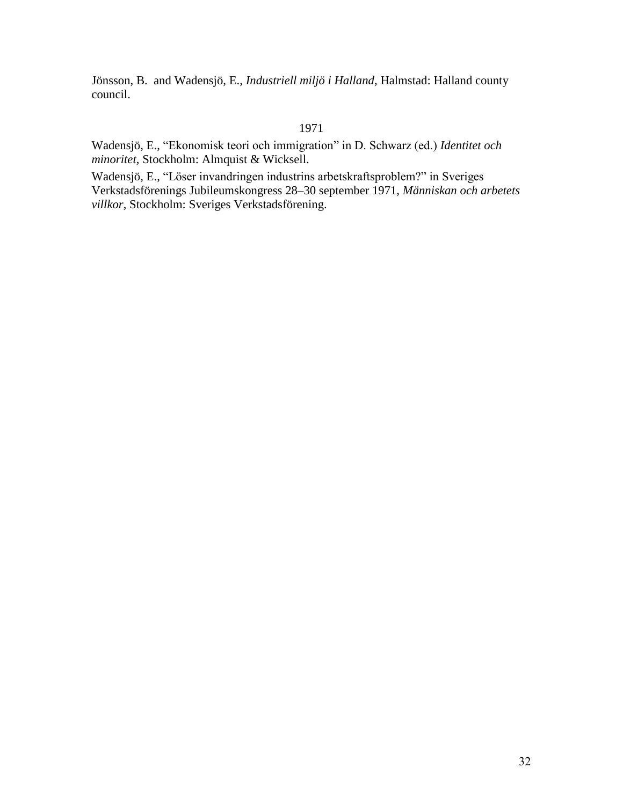Jönsson, B. and Wadensjö, E., *Industriell miljö i Halland*, Halmstad: Halland county council.

# 1971

Wadensjö, E., "Ekonomisk teori och immigration" in D. Schwarz (ed.) *Identitet och minoritet*, Stockholm: Almquist & Wicksell.

Wadensjö, E., "Löser invandringen industrins arbetskraftsproblem?" in Sveriges Verkstadsförenings Jubileumskongress 28*–*30 september 1971, *Människan och arbetets villkor*, Stockholm: Sveriges Verkstadsförening.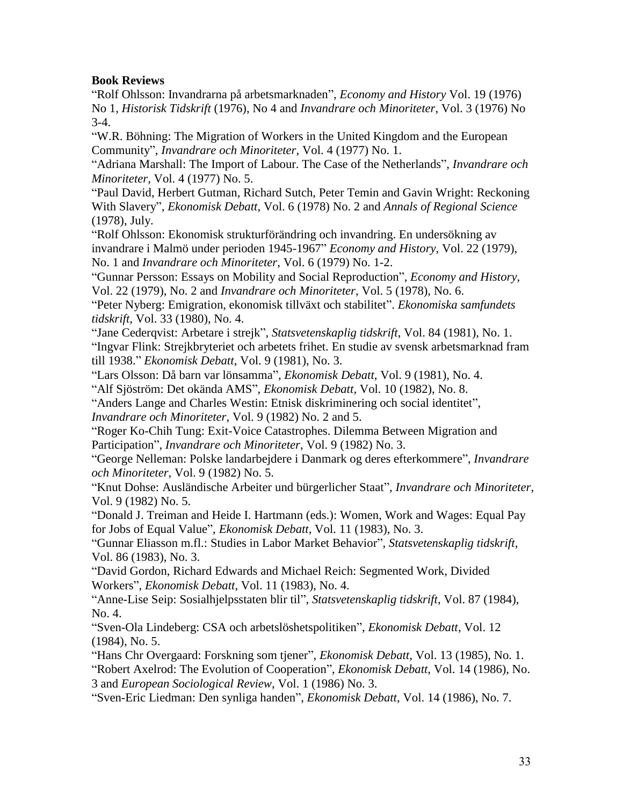# **Book Reviews**

"Rolf Ohlsson: Invandrarna på arbetsmarknaden", *Economy and History* Vol. 19 (1976) No 1, *Historisk Tidskrift* (1976), No 4 and *Invandrare och Minoriteter*, Vol. 3 (1976) No 3-4.

"W.R. Böhning: The Migration of Workers in the United Kingdom and the European Community", *Invandrare och Minoriteter*, Vol. 4 (1977) No. 1.

"Adriana Marshall: The Import of Labour. The Case of the Netherlands", *Invandrare och Minoriteter*, Vol. 4 (1977) No. 5.

"Paul David, Herbert Gutman, Richard Sutch, Peter Temin and Gavin Wright: Reckoning With Slavery", *Ekonomisk Debatt*, Vol. 6 (1978) No. 2 and *Annals of Regional Science* (1978), July.

"Rolf Ohlsson: Ekonomisk strukturförändring och invandring. En undersökning av invandrare i Malmö under perioden 1945-1967" *Economy and History*, Vol. 22 (1979), No. 1 and *Invandrare och Minoriteter*, Vol. 6 (1979) No. 1-2.

"Gunnar Persson: Essays on Mobility and Social Reproduction", *Economy and History*, Vol. 22 (1979), No. 2 and *Invandrare och Minoriteter*, Vol. 5 (1978), No. 6.

"Peter Nyberg: Emigration, ekonomisk tillväxt och stabilitet". *Ekonomiska samfundets tidskrift*, Vol. 33 (1980), No. 4.

"Jane Cederqvist: Arbetare i strejk", *Statsvetenskaplig tidskrift*, Vol. 84 (1981), No. 1. "Ingvar Flink: Strejkbryteriet och arbetets frihet. En studie av svensk arbetsmarknad fram till 1938." *Ekonomisk Debatt*, Vol. 9 (1981), No. 3.

"Lars Olsson: Då barn var lönsamma", *Ekonomisk Debatt*, Vol. 9 (1981), No. 4.

"Alf Sjöström: Det okända AMS", *Ekonomisk Debatt*, Vol. 10 (1982), No. 8.

"Anders Lange and Charles Westin: Etnisk diskriminering och social identitet", *Invandrare och Minoriteter*, Vol. 9 (1982) No. 2 and 5.

"Roger Ko-Chih Tung: Exit-Voice Catastrophes. Dilemma Between Migration and Participation", *Invandrare och Minoriteter*, Vol. 9 (1982) No. 3.

"George Nelleman: Polske landarbejdere i Danmark og deres efterkommere", *Invandrare och Minoriteter*, Vol. 9 (1982) No. 5.

"Knut Dohse: Ausländische Arbeiter und bürgerlicher Staat", *Invandrare och Minoriteter*, Vol. 9 (1982) No. 5.

"Donald J. Treiman and Heide I. Hartmann (eds.): Women, Work and Wages: Equal Pay for Jobs of Equal Value", *Ekonomisk Debatt*, Vol. 11 (1983), No. 3.

"Gunnar Eliasson m.fl.: Studies in Labor Market Behavior", *Statsvetenskaplig tidskrift*, Vol. 86 (1983), No. 3.

"David Gordon, Richard Edwards and Michael Reich: Segmented Work, Divided Workers", *Ekonomisk Debatt*, Vol. 11 (1983), No. 4.

"Anne-Lise Seip: Sosialhjelpsstaten blir til", *Statsvetenskaplig tidskrift*, Vol. 87 (1984), No. 4.

"Sven-Ola Lindeberg: CSA och arbetslöshetspolitiken", *Ekonomisk Debatt*, Vol. 12 (1984), No. 5.

"Hans Chr Overgaard: Forskning som tjener", *Ekonomisk Debatt*, Vol. 13 (1985), No. 1. "Robert Axelrod: The Evolution of Cooperation", *Ekonomisk Debatt*, Vol. 14 (1986), No. 3 and *European Sociological Review*, Vol. 1 (1986) No. 3.

"Sven-Eric Liedman: Den synliga handen", *Ekonomisk Debatt*, Vol. 14 (1986), No. 7.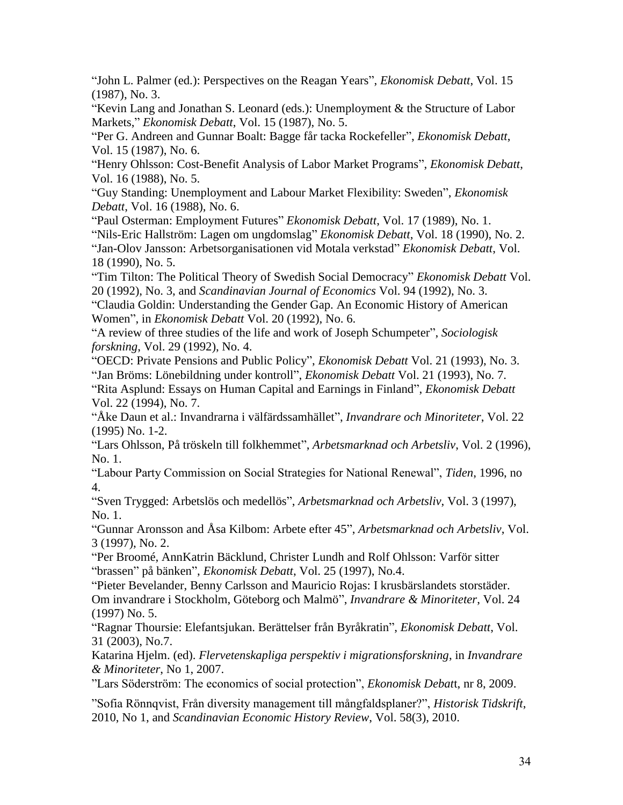"John L. Palmer (ed.): Perspectives on the Reagan Years", *Ekonomisk Debatt*, Vol. 15 (1987), No. 3.

"Kevin Lang and Jonathan S. Leonard (eds.): Unemployment & the Structure of Labor Markets," *Ekonomisk Debatt*, Vol. 15 (1987), No. 5.

"Per G. Andreen and Gunnar Boalt: Bagge får tacka Rockefeller", *Ekonomisk Debatt*, Vol. 15 (1987), No. 6.

"Henry Ohlsson: Cost-Benefit Analysis of Labor Market Programs", *Ekonomisk Debatt*, Vol. 16 (1988), No. 5.

"Guy Standing: Unemployment and Labour Market Flexibility: Sweden", *Ekonomisk Debatt*, Vol. 16 (1988), No. 6.

"Paul Osterman: Employment Futures" *Ekonomisk Debatt*, Vol. 17 (1989), No. 1.

"Nils-Eric Hallström: Lagen om ungdomslag" *Ekonomisk Debatt*, Vol. 18 (1990), No. 2. "Jan-Olov Jansson: Arbetsorganisationen vid Motala verkstad" *Ekonomisk Debatt*, Vol. 18 (1990), No. 5.

"Tim Tilton: The Political Theory of Swedish Social Democracy" *Ekonomisk Debatt* Vol. 20 (1992), No. 3, and *Scandinavian Journal of Economics* Vol. 94 (1992), No. 3.

"Claudia Goldin: Understanding the Gender Gap. An Economic History of American Women", in *Ekonomisk Debatt* Vol. 20 (1992), No. 6.

"A review of three studies of the life and work of Joseph Schumpeter", *Sociologisk forskning*, Vol. 29 (1992), No. 4.

"OECD: Private Pensions and Public Policy", *Ekonomisk Debatt* Vol. 21 (1993), No. 3. "Jan Bröms: Lönebildning under kontroll", *Ekonomisk Debatt* Vol. 21 (1993), No. 7. "Rita Asplund: Essays on Human Capital and Earnings in Finland", *Ekonomisk Debatt* Vol. 22 (1994), No. 7.

"Åke Daun et al.: Invandrarna i välfärdssamhället", *Invandrare och Minoriteter*, Vol. 22 (1995) No. 1-2.

"Lars Ohlsson, På tröskeln till folkhemmet", *Arbetsmarknad och Arbetsliv*, Vol. 2 (1996), No. 1.

"Labour Party Commission on Social Strategies for National Renewal", *Tiden*, 1996, no 4.

"Sven Trygged: Arbetslös och medellös", *Arbetsmarknad och Arbetsliv*, Vol. 3 (1997), No. 1.

"Gunnar Aronsson and Åsa Kilbom: Arbete efter 45", *Arbetsmarknad och Arbetsliv*, Vol. 3 (1997), No. 2.

"Per Broomé, AnnKatrin Bäcklund, Christer Lundh and Rolf Ohlsson: Varför sitter "brassen" på bänken", *Ekonomisk Debatt*, Vol. 25 (1997), No.4.

"Pieter Bevelander, Benny Carlsson and Mauricio Rojas: I krusbärslandets storstäder. Om invandrare i Stockholm, Göteborg och Malmö", *Invandrare & Minoriteter*, Vol. 24 (1997) No. 5.

"Ragnar Thoursie: Elefantsjukan. Berättelser från Byråkratin", *Ekonomisk Debatt*, Vol. 31 (2003), No.7.

Katarina Hjelm. (ed). *Flervetenskapliga perspektiv i migrationsforskning*, in *Invandrare & Minoriteter*, No 1, 2007.

"Lars Söderström: The economics of social protection", *Ekonomisk Debat*t, nr 8, 2009.

"Sofia Rönnqvist, Från diversity management till mångfaldsplaner?", *Historisk Tidskrift*, 2010, No 1, and *Scandinavian Economic History Review*, Vol. 58(3), 2010.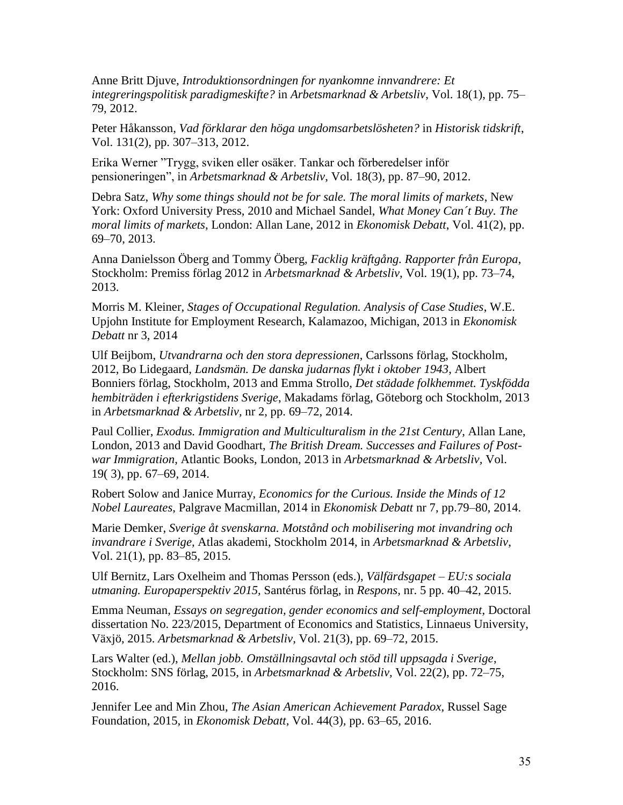Anne Britt Djuve, *Introduktionsordningen for nyankomne innvandrere: Et integreringspolitisk paradigmeskifte?* in *Arbetsmarknad & Arbetsliv*, Vol. 18(1), pp. 75– 79, 2012.

Peter Håkansson, *Vad förklarar den höga ungdomsarbetslösheten?* in *Historisk tidskrift*, Vol. 131(2), pp. 307–313, 2012.

Erika Werner "Trygg, sviken eller osäker. Tankar och förberedelser inför pensioneringen", in *Arbetsmarknad & Arbetsliv*, Vol. 18(3), pp. 87–90, 2012.

Debra Satz, *Why some things should not be for sale. The moral limits of markets*, New York: Oxford University Press, 2010 and Michael Sandel, *What Money Can´t Buy. The moral limits of markets*, London: Allan Lane, 2012 in *Ekonomisk Debatt*, Vol. 41(2), pp. 69–70, 2013.

Anna Danielsson Öberg and Tommy Öberg, *Facklig kräftgång. Rapporter från Europa*, Stockholm: Premiss förlag 2012 in *Arbetsmarknad & Arbetsliv,* Vol. 19(1), pp. 73–74, 2013.

Morris M. Kleiner, *Stages of Occupational Regulation. Analysis of Case Studies*, W.E. Upjohn Institute for Employment Research, Kalamazoo, Michigan, 2013 in *Ekonomisk Debatt* nr 3, 2014

Ulf Beijbom, *Utvandrarna och den stora depressionen*, Carlssons förlag, Stockholm, 2012, Bo Lidegaard, *Landsmän. De danska judarnas flykt i oktober 1943*, Albert Bonniers förlag, Stockholm, 2013 and Emma Strollo, *Det städade folkhemmet. Tyskfödda hembiträden i efterkrigstidens Sverige*, Makadams förlag, Göteborg och Stockholm, 2013 in *Arbetsmarknad & Arbetsliv,* nr 2, pp. 69–72, 2014.

Paul Collier, *Exodus. Immigration and Multiculturalism in the 21st Century*, Allan Lane, London, 2013 and David Goodhart, *The British Dream. Successes and Failures of Postwar Immigration*, Atlantic Books, London, 2013 in *Arbetsmarknad & Arbetsliv,* Vol. 19( 3), pp. 67–69, 2014.

Robert Solow and Janice Murray, *Economics for the Curious. Inside the Minds of 12 Nobel Laureates*, Palgrave Macmillan, 2014 in *Ekonomisk Debatt* nr 7, pp.79–80, 2014.

Marie Demker, *Sverige åt svenskarna. Motstånd och mobilisering mot invandring och invandrare i Sverige,* Atlas akademi, Stockholm 2014, in *Arbetsmarknad & Arbetsliv*, Vol. 21(1), pp. 83–85, 2015.

Ulf Bernitz, Lars Oxelheim and Thomas Persson (eds.), *Välfärdsgapet – EU:s sociala utmaning. Europaperspektiv 2015,* Santérus förlag, in *Respons,* nr. 5 pp. 40–42, 2015.

Emma Neuman, *Essays on segregation, gender economics and self-employment*, Doctoral dissertation No. 223/2015, Department of Economics and Statistics, Linnaeus University, Växjö, 2015. *Arbetsmarknad & Arbetsliv*, Vol. 21(3), pp. 69–72, 2015.

Lars Walter (ed.), *Mellan jobb. Omställningsavtal och stöd till uppsagda i Sverige*, Stockholm: SNS förlag, 2015, in *Arbetsmarknad & Arbetsliv,* Vol. 22(2), pp. 72–75, 2016.

Jennifer Lee and Min Zhou, *The Asian American Achievement Paradox*, Russel Sage Foundation, 2015, in *Ekonomisk Debatt,* Vol. 44(3)*,* pp. 63–65, 2016.